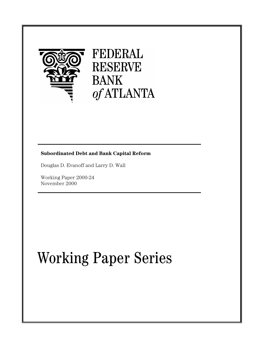

## FEDERAL **RESERVE BANK** of ATLANTA

### **Subordinated Debt and Bank Capital Reform**

Douglas D. Evanoff and Larry D. Wall

Working Paper 2000-24 November 2000

# Working Paper Series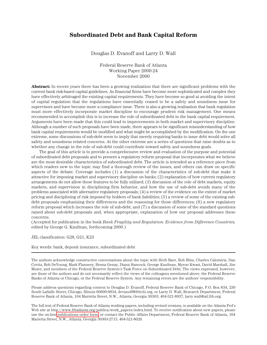#### **Subordinated Debt and Bank Capital Reform**

Douglas D. Evanoff and Larry D. Wall

Federal Reserve Bank of Atlanta Working Paper 2000-24 November 2000

**Abstract:** In recent years there has been a growing realization that there are significant problems with the current bank risk-based capital guidelines. As financial firms have become more sophisticated and complex they have effectively arbitraged the existing capital requirements. They have become so good at avoiding the intent of capital regulation that the regulations have essentially ceased to be a safety and soundness issue for supervisors and have become more a compliance issue. There is also a growing realization that bank regulation must more effectively incorporate market discipline to encourage prudent risk management. One means recommended to accomplish this is to increase the role of subordinated debt in the bank capital requirement. Arguments have been made that this could lead to improvements in both market and supervisory discipline. Although a number of such proposals have been made, there appears to be significant misunderstanding of how bank capital requirements would be modified and what might be accomplished by the modification. On the one extreme, some discussions of sub-debt seem to imply that merely requiring banks to issue debt would solve all safety and soundness related concerns. At the other extreme are a series of questions that raise doubts as to whether any change in the role of sub-debt could contribute toward safety and soundness goals.

The goal of this article is to provide a comprehensive review and evaluation of the purpose and potential of subordinated debt proposals and to present a regulatory reform proposal that incorporates what we believe are the most desirable characteristics of subordinated debt. The article is intended as a reference piece from which readers new to the topic may find a thorough review of the issues, and others can draw on specific aspects of the debate. Coverage includes (1) a discussion of the characteristics of sub-debt that make it attractive for imposing market and supervisory discipline on banks; (2) explanation of how current regulatory arrangements do not allow these features to be fully utilized; (3) discussion of the role of debt markets, equity markets, and supervision in disciplining firm behavior, and how the use of sub-debt avoids many of the problems associated with alternative regulatory proposals; (4) a review of the evidence on the extent of market pricing and disciplining of risk imposed by holders of bank liabilities; (5) a review of some of the existing subdebt proposals emphasizing their differences and the reasoning for those differences; (6) a new regulatory reform proposal which increases the role of sub-debt; and (7) a discussion of some of the standard questions raised about sub-debt proposals and, when appropriate, explanation of how our proposal addresses these concerns.

(Accepted for publication in the book *Bank Fragility and Regulation: Evidence from Difference Countries,* edited by George G. Kaufman, forthcoming 2000.)

JEL classification: G28, G21, K23

Key words: bank, deposit insurance, subordinated debt

The authors acknowledge constructive conversations about the topic with Herb Baer, Rob Bliss, Charles Calomiris, Dan Covitz, Bob DeYoung, Mark Flannery, Hesna Genay, Diana Hancock, George Kaufman, Myron Kwast, David Marshall, Jim Moser, and members of the Federal Reserve System's Task Force on Subordinated Debt. The views expressed, however, are those of the authors and do not necessarily reflect the views of the colleagues mentioned above, the Federal Reserve Banks of Atlanta or Chicago, or the Federal Reserve System. Any remaining errors are the authors' responsibility.

Please address questions regarding content to Douglas D. Evanoff, Federal Reserve Bank of Chicago, P.O. Box 834, 230 South LaSalle Street, Chicago, Illinois 60690-0834, devanoff@frbchi.org, or Larry D. Wall, Research Department, Federal Reserve Bank of Atlanta, 104 Marietta Street, N.W., Atlanta, Georgia 30303, 404-521-8937, larry.wall@atl.frb.org.

The full text of Federal Reserve Bank of Atlanta working papers, including revised versions, is available on the Atlanta Fed's Web site at http://www.frbatlanta.org/publica/work\_papers/index.html. To receive notification about new papers, please use the on-line [publications order form,](http://www.frbatlanta.org/publica/ordform.cfm) or contact the Public Affairs Department, Federal Reserve Bank of Atlanta, 104 Marietta Street, N.W., Atlanta, Georgia 30303-2713, 404-521-8020.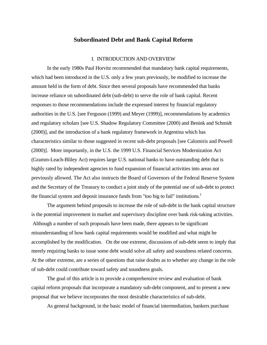#### **Subordinated Debt and Bank Capital Reform**

#### I. INTRODUCTION AND OVERVIEW

In the early 1980s Paul Horvitz recommended that mandatory bank capital requirements, which had been introduced in the U.S. only a few years previously, be modified to increase the amount held in the form of debt. Since then several proposals have recommended that banks increase reliance on subordinated debt (sub-debt) to serve the role of bank capital. Recent responses to those recommendations include the expressed interest by financial regulatory authorities in the U.S. [see Ferguson (1999) and Meyer (1999)], recommendations by academics and regulatory scholars [see U.S. Shadow Regulatory Committee (2000) and Benink and Schmidt (2000)], and the introduction of a bank regulatory framework in Argentina which has characteristics similar to those suggested in recent sub-debt proposals [see Calomiris and Powell (2000)]. More importantly, in the U.S. the 1999 U.S. Financial Services Modernization Act (Gramm-Leach-Bliley Act) requires large U.S. national banks to have outstanding debt that is highly rated by independent agencies to fund expansion of financial activities into areas not previously allowed. The Act also instructs the Board of Governors of the Federal Reserve System and the Secretary of the Treasury to conduct a joint study of the potential use of sub-debt to protect the financial system and deposit insurance funds from "too big to fail" institutions.<sup>1</sup>

The argument behind proposals to increase the role of sub-debt in the bank capital structure is the potential improvement in market and supervisory discipline over bank risk-taking activities. Although a number of such proposals have been made, there appears to be significant misunderstanding of how bank capital requirements would be modified and what might be accomplished by the modification. On the one extreme, discussions of sub-debt seem to imply that merely requiring banks to issue some debt would solve all safety and soundness related concerns. At the other extreme, are a series of questions that raise doubts as to whether any change in the role of sub-debt could contribute toward safety and soundness goals.

The goal of this article is to provide a comprehensive review and evaluation of bank capital reform proposals that incorporate a mandatory sub-debt component, and to present a new proposal that we believe incorporates the most desirable characteristics of sub-debt.

As general background, in the basic model of financial intermediation, bankers purchase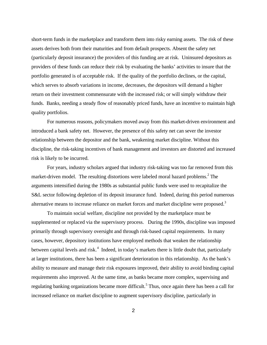short-term funds in the marketplace and transform them into risky earning assets. The risk of these assets derives both from their maturities and from default prospects. Absent the safety net (particularly deposit insurance) the providers of this funding are at risk. Uninsured depositors as providers of these funds can reduce their risk by evaluating the banks' activities to insure that the portfolio generated is of acceptable risk. If the quality of the portfolio declines, or the capital, which serves to absorb variations in income, decreases, the depositors will demand a higher return on their investment commensurate with the increased risk; or will simply withdraw their funds. Banks, needing a steady flow of reasonably priced funds, have an incentive to maintain high quality portfolios.

For numerous reasons, policymakers moved away from this market-driven environment and introduced a bank safety net. However, the presence of this safety net can sever the investor relationship between the depositor and the bank, weakening market discipline. Without this discipline, the risk-taking incentives of bank management and investors are distorted and increased risk is likely to be incurred.

 For years, industry scholars argued that industry risk-taking was too far removed from this market-driven model. The resulting distortions were labeled moral hazard problems.<sup>2</sup> The arguments intensified during the 1980s as substantial public funds were used to recapitalize the S&L sector following depletion of its deposit insurance fund. Indeed, during this period numerous alternative means to increase reliance on market forces and market discipline were proposed.<sup>3</sup>

To maintain social welfare, discipline not provided by the marketplace must be supplemented or replaced via the supervisory process. During the 1990s, discipline was imposed primarily through supervisory oversight and through risk-based capital requirements. In many cases, however, depository institutions have employed methods that weaken the relationship between capital levels and risk.<sup>4</sup> Indeed, in today's markets there is little doubt that, particularly at larger institutions, there has been a significant deterioration in this relationship. As the bank's ability to measure and manage their risk exposures improved, their ability to avoid binding capital requirements also improved. At the same time, as banks became more complex, supervising and regulating banking organizations became more difficult.<sup>5</sup> Thus, once again there has been a call for increased reliance on market discipline to augment supervisory discipline, particularly in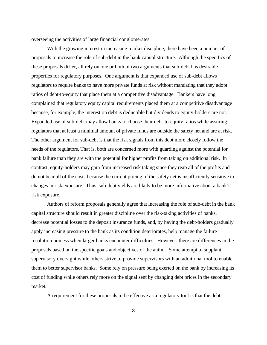overseeing the activities of large financial conglomerates.

With the growing interest in increasing market discipline, there have been a number of proposals to increase the role of sub-debt in the bank capital structure. Although the specifics of these proposals differ, all rely on one or both of two arguments that sub-debt has desirable properties for regulatory purposes. One argument is that expanded use of sub-debt allows regulators to require banks to have more private funds at risk without mandating that they adopt ratios of debt-to-equity that place them at a competitive disadvantage. Bankers have long complained that regulatory equity capital requirements placed them at a competitive disadvantage because, for example, the interest on debt is deductible but dividends to equity-holders are not. Expanded use of sub-debt may allow banks to choose their debt-to-equity ratios while assuring regulators that at least a minimal amount of private funds are outside the safety net and are at risk. The other argument for sub-debt is that the risk signals from this debt more closely follow the needs of the regulators. That is, both are concerned more with guarding against the potential for bank failure than they are with the potential for higher profits from taking on additional risk. In contrast, equity-holders may gain from increased risk taking since they reap all of the profits and do not bear all of the costs because the current pricing of the safety net is insufficiently sensitive to changes in risk exposure. Thus, sub-debt yields are likely to be more informative about a bank's risk exposure.

Authors of reform proposals generally agree that increasing the role of sub-debt in the bank capital structure should result in greater discipline over the risk-taking activities of banks, decrease potential losses to the deposit insurance funds, and, by having the debt-holders gradually apply increasing pressure to the bank as its condition deteriorates, help manage the failure resolution process when larger banks encounter difficulties. However, there are differences in the proposals based on the specific goals and objectives of the author. Some attempt to supplant supervisory oversight while others strive to provide supervisors with an additional tool to enable them to better supervisor banks. Some rely on pressure being exerted on the bank by increasing its cost of funding while others rely more on the signal sent by changing debt prices in the secondary market.

A requirement for these proposals to be effective as a regulatory tool is that the debt-

3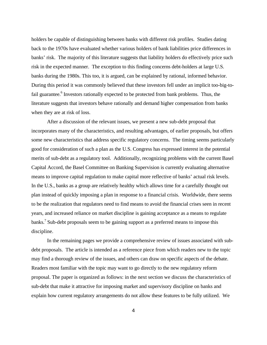holders be capable of distinguishing between banks with different risk profiles. Studies dating back to the 1970s have evaluated whether various holders of bank liabilities price differences in banks' risk. The majority of this literature suggests that liability holders do effectively price such risk in the expected manner. The exception to this finding concerns debt-holders at large U.S. banks during the 1980s. This too, it is argued, can be explained by rational, informed behavior. During this period it was commonly believed that these investors fell under an implicit too-big-tofail guarantee.<sup>6</sup> Investors rationally expected to be protected from bank problems. Thus, the literature suggests that investors behave rationally and demand higher compensation from banks when they are at risk of loss.

After a discussion of the relevant issues, we present a new sub-debt proposal that incorporates many of the characteristics, and resulting advantages, of earlier proposals, but offers some new characteristics that address specific regulatory concerns. The timing seems particularly good for consideration of such a plan as the U.S. Congress has expressed interest in the potential merits of sub-debt as a regulatory tool. Additionally, recognizing problems with the current Basel Capital Accord, the Basel Committee on Banking Supervision is currently evaluating alternative means to improve capital regulation to make capital more reflective of banks' actual risk levels. In the U.S., banks as a group are relatively healthy which allows time for a carefully thought out plan instead of quickly imposing a plan in response to a financial crisis. Worldwide, there seems to be the realization that regulators need to find means to avoid the financial crises seen in recent years, and increased reliance on market discipline is gaining acceptance as a means to regulate banks.<sup>7</sup> Sub-debt proposals seem to be gaining support as a preferred means to impose this discipline.

In the remaining pages we provide a comprehensive review of issues associated with subdebt proposals. The article is intended as a reference piece from which readers new to the topic may find a thorough review of the issues, and others can draw on specific aspects of the debate. Readers most familiar with the topic may want to go directly to the new regulatory reform proposal. The paper is organized as follows: in the next section we discuss the characteristics of sub-debt that make it attractive for imposing market and supervisory discipline on banks and explain how current regulatory arrangements do not allow these features to be fully utilized. We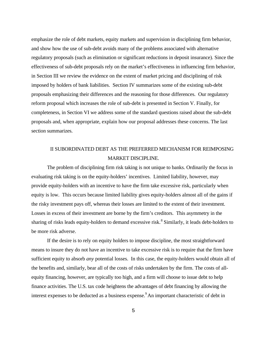emphasize the role of debt markets, equity markets and supervision in disciplining firm behavior, and show how the use of sub-debt avoids many of the problems associated with alternative regulatory proposals (such as elimination or significant reductions in deposit insurance). Since the effectiveness of sub-debt proposals rely on the market's effectiveness in influencing firm behavior, in Section III we review the evidence on the extent of market pricing and disciplining of risk imposed by holders of bank liabilities. Section IV summarizes some of the existing sub-debt proposals emphasizing their differences and the reasoning for those differences. Our regulatory reform proposal which increases the role of sub-debt is presented in Section V. Finally, for completeness, in Section VI we address some of the standard questions raised about the sub-debt proposals and, when appropriate, explain how our proposal addresses these concerns. The last section summarizes.

## II SUBORDINATED DEBT AS THE PREFERRED MECHANISM FOR REIMPOSING MARKET DISCIPLINE.

The problem of disciplining firm risk taking is not unique to banks. Ordinarily the focus in evaluating risk taking is on the equity-holders' incentives. Limited liability, however, may provide equity-holders with an incentive to have the firm take excessive risk, particularly when equity is low. This occurs because limited liability gives equity-holders almost all of the gains if the risky investment pays off, whereas their losses are limited to the extent of their investment. Losses in excess of their investment are borne by the firm's creditors. This asymmetry in the sharing of risks leads equity-holders to demand excessive risk.<sup>8</sup> Similarly, it leads debt-holders to be more risk adverse.

If the desire is to rely on equity holders to impose discipline, the most straightforward means to insure they do not have an incentive to take excessive risk is to require that the firm have sufficient equity to absorb *any* potential losses. In this case, the equity-holders would obtain all of the benefits and, similarly, bear all of the costs of risks undertaken by the firm. The costs of allequity financing, however, are typically too high, and a firm will choose to issue debt to help finance activities. The U.S. tax code heightens the advantages of debt financing by allowing the interest expenses to be deducted as a business expense.<sup>9</sup>An important characteristic of debt in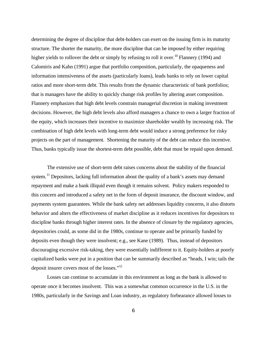determining the degree of discipline that debt-holders can exert on the issuing firm is its maturity structure. The shorter the maturity, the more discipline that can be imposed by either requiring higher yields to rollover the debt or simply by refusing to roll it over.<sup>10</sup> Flannery (1994) and Calomiris and Kahn (1991) argue that portfolio composition, particularly, the opaqueness and information intensiveness of the assets (particularly loans), leads banks to rely on lower capital ratios and more short-term debt. This results from the dynamic characteristic of bank portfolios; that is managers have the ability to quickly change risk profiles by altering asset composition. Flannery emphasizes that high debt levels constrain managerial discretion in making investment decisions. However, the high debt levels also afford managers a chance to own a larger fraction of the equity, which increases their incentive to maximize shareholder wealth by increasing risk. The combination of high debt levels with long-term debt would induce a strong preference for risky projects on the part of management. Shortening the maturity of the debt can reduce this incentive. Thus, banks typically issue the shortest-term debt possible, debt that must be repaid upon demand.

The extensive use of short-term debt raises concerns about the stability of the financial system.<sup>11</sup> Depositors, lacking full information about the quality of a bank's assets may demand repayment and make a bank illiquid even though it remains solvent. Policy makers responded to this concern and introduced a safety net in the form of deposit insurance, the discount window, and payments system guarantees. While the bank safety net addresses liquidity concerns, it also distorts behavior and alters the effectiveness of market discipline as it reduces incentives for depositors to discipline banks through higher interest rates. In the absence of closure by the regulatory agencies, depositories could, as some did in the 1980s, continue to operate and be primarily funded by deposits even though they were insolvent; e.g., see Kane (1989). Thus, instead of depositors discouraging excessive risk-taking, they were essentially indifferent to it. Equity-holders at poorly capitalized banks were put in a position that can be summarily described as "heads, I win; tails the deposit insurer covers most of the losses."<sup>12</sup>

Losses can continue to accumulate in this environment as long as the bank is allowed to operate once it becomes insolvent. This was a somewhat common occurrence in the U.S. in the 1980s, particularly in the Savings and Loan industry, as regulatory forbearance allowed losses to

6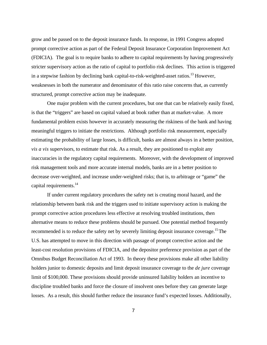grow and be passed on to the deposit insurance funds. In response, in 1991 Congress adopted prompt corrective action as part of the Federal Deposit Insurance Corporation Improvement Act (FDICIA). The goal is to require banks to adhere to capital requirements by having progressively stricter supervisory action as the ratio of capital to portfolio risk declines. This action is triggered in a stepwise fashion by declining bank capital-to-risk-weighted-asset ratios.<sup>13</sup> However, weaknesses in both the numerator and denominator of this ratio raise concerns that, as currently structured, prompt corrective action may be inadequate.

One major problem with the current procedures, but one that can be relatively easily fixed, is that the "triggers" are based on capital valued at book rather than at market-value. A more fundamental problem exists however in accurately measuring the riskiness of the bank and having meaningful triggers to initiate the restrictions. Although portfolio risk measurement, especially estimating the probability of large losses, is difficult, banks are almost always in a better position, *vis a vis* supervisors, to estimate that risk. As a result, they are positioned to exploit any inaccuracies in the regulatory capital requirements. Moreover, with the development of improved risk management tools and more accurate internal models, banks are in a better position to decrease over-weighted, and increase under-weighted risks; that is, to arbitrage or "game" the capital requirements.<sup>14</sup>

If under current regulatory procedures the safety net is creating moral hazard, and the relationship between bank risk and the triggers used to initiate supervisory action is making the prompt corrective action procedures less effective at resolving troubled institutions, then alternative means to reduce these problems should be pursued. One potential method frequently recommended is to reduce the safety net by severely limiting deposit insurance coverage.<sup>15</sup>The U.S. has attempted to move in this direction with passage of prompt corrective action and the least-cost resolution provisions of FDICIA, and the depositor preference provision as part of the Omnibus Budget Reconciliation Act of 1993. In theory these provisions make all other liability holders junior to domestic deposits and limit deposit insurance coverage to the *de jure* coverage limit of \$100,000. These provisions should provide uninsured liability holders an incentive to discipline troubled banks and force the closure of insolvent ones before they can generate large losses. As a result, this should further reduce the insurance fund's expected losses. Additionally,

7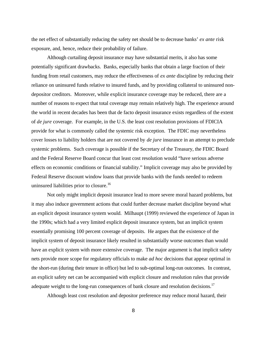the net effect of substantially reducing the safety net should be to decrease banks' *ex ante* risk exposure, and, hence, reduce their probability of failure.

Although curtailing deposit insurance may have substantial merits, it also has some potentially significant drawbacks. Banks, especially banks that obtain a large fraction of their funding from retail customers, may reduce the effectiveness of *ex ante* discipline by reducing their reliance on uninsured funds relative to insured funds, and by providing collateral to uninsured nondepositor creditors. Moreover, while explicit insurance coverage may be reduced, there are a number of reasons to expect that total coverage may remain relatively high. The experience around the world in recent decades has been that de facto deposit insurance exists regardless of the extent of *de jure* coverage. For example, in the U.S. the least cost resolution provisions of FDICIA provide for what is commonly called the systemic risk exception. The FDIC may nevertheless cover losses to liability holders that are not covered by *de jure* insurance in an attempt to preclude systemic problems. Such coverage is possible if the Secretary of the Treasury, the FDIC Board and the Federal Reserve Board concur that least cost resolution would "have serious adverse effects on economic conditions or financial stability." Implicit coverage may also be provided by Federal Reserve discount window loans that provide banks with the funds needed to redeem uninsured liabilities prior to closure.<sup>16</sup>

Not only might implicit deposit insurance lead to more severe moral hazard problems, but it may also induce government actions that could further decrease market discipline beyond what an explicit deposit insurance system would. Milhaupt (1999) reviewed the experience of Japan in the 1990s; which had a very limited explicit deposit insurance system, but an implicit system essentially promising 100 percent coverage of deposits. He argues that the existence of the implicit system of deposit insurance likely resulted in substantially worse outcomes than would have an explicit system with more extensive coverage. The major argument is that implicit safety nets provide more scope for regulatory officials to make *ad hoc* decisions that appear optimal in the short-run (during their tenure in office) but led to sub-optimal long-run outcomes. In contrast, an explicit safety net can be accompanied with explicit closure and resolution rules that provide adequate weight to the long-run consequences of bank closure and resolution decisions.<sup>17</sup>

Although least cost resolution and depositor preference may reduce moral hazard, their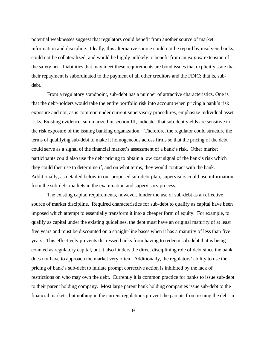potential weaknesses suggest that regulators could benefit from another source of market information and discipline. Ideally, this alternative source could not be repaid by insolvent banks, could not be collateralized, and would be highly unlikely to benefit from an *ex post* extension of the safety net. Liabilities that may meet these requirements are bond issues that explicitly state that their repayment is subordinated to the payment of all other creditors and the FDIC; that is, subdebt.

From a regulatory standpoint, sub-debt has a number of attractive characteristics. One is that the debt-holders would take the entire portfolio risk into account when pricing a bank's risk exposure and not, as is common under current supervisory procedures, emphasize individual asset risks. Existing evidence, summarized in section III, indicates that sub-debt yields are sensitive to the risk exposure of the issuing banking organization. Therefore, the regulator could structure the terms of qualifying sub-debt to make it homogeneous across firms so that the pricing of the debt could serve as a signal of the financial market's assessment of a bank's risk. Other market participants could also use the debt pricing to obtain a low cost signal of the bank's risk which they could then use to determine if, and on what terms, they would contract with the bank. Additionally, as detailed below in our proposed sub-debt plan, supervisors could use information from the sub-debt markets in the examination and supervisory process.

The existing capital requirements, however, hinder the use of sub-debt as an effective source of market discipline. Required characteristics for sub-debt to qualify as capital have been imposed which attempt to essentially transform it into a cheaper form of equity. For example, to qualify as capital under the existing guidelines, the debt must have an original maturity of at least five years and must be discounted on a straight-line bases when it has a maturity of less than five years. This effectively prevents distressed banks from having to redeem sub-debt that is being counted as regulatory capital, but it also hinders the direct disciplining role of debt since the bank does not have to approach the market very often. Additionally, the regulators' ability to use the pricing of bank's sub-debt to initiate prompt corrective action is inhibited by the lack of restrictions on who may own the debt. Currently it is common practice for banks to issue sub-debt to their parent holding company. Most large parent bank holding companies issue sub-debt to the financial markets, but nothing in the current regulations prevent the parents from issuing the debt in

9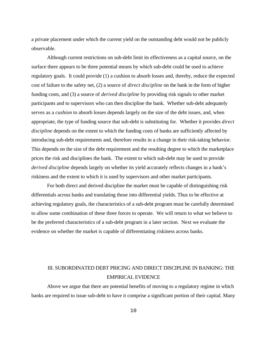a private placement under which the current yield on the outstanding debt would not be publicly observable.

Although current restrictions on sub-debt limit its effectiveness as a capital source, on the surface there appears to be three potential means by which sub-debt could be used to achieve regulatory goals. It could provide (1) a cushion to absorb losses and, thereby, reduce the expected cost of failure to the safety net, (2) a source of *direct discipline* on the bank in the form of higher funding costs, and (3) a source of *derived discipline* by providing risk signals to other market participants and to supervisors who can then discipline the bank. Whether sub-debt adequately serves as a *cushion* to absorb losses depends largely on the size of the debt issues, and, when appropriate, the type of funding source that sub-debt is substituting for. Whether it provides *direct discipline* depends on the extent to which the funding costs of banks are sufficiently affected by introducing sub-debt requirements and, therefore results in a change in their risk-taking behavior. This depends on the size of the debt requirement and the resulting degree to which the marketplace prices the risk and disciplines the bank. The extent to which sub-debt may be used to provide *derived discipline* depends largely on whether its yield accurately reflects changes in a bank's riskiness and the extent to which it is used by supervisors and other market participants.

For both direct and derived discipline the market must be capable of distinguishing risk differentials across banks and translating those into differential yields. Thus to be effective at achieving regulatory goals, the characteristics of a sub-debt program must be carefully determined to allow some combination of these three forces to operate. We will return to what we believe to be the preferred characteristics of a sub-debt program in a later section. Next we evaluate the evidence on whether the market is capable of differentiating riskiness across banks.

## III. SUBORDINATED DEBT PRICING AND DIRECT DISCIPLINE IN BANKING: THE EMPIRICAL EVIDENCE

Above we argue that there are potential benefits of moving to a regulatory regime in which banks are required to issue sub-debt to have it comprise a significant portion of their capital. Many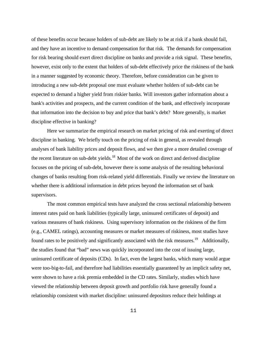of these benefits occur because holders of sub-debt are likely to be at risk if a bank should fail, and they have an incentive to demand compensation for that risk. The demands for compensation for risk bearing should exert direct discipline on banks and provide a risk signal. These benefits, however, exist only to the extent that holders of sub-debt effectively price the riskiness of the bank in a manner suggested by economic theory. Therefore, before consideration can be given to introducing a new sub-debt proposal one must evaluate whether holders of sub-debt can be expected to demand a higher yield from riskier banks. Will investors gather information about a bank's activities and prospects, and the current condition of the bank, and effectively incorporate that information into the decision to buy and price that bank's debt? More generally, is market discipline effective in banking?

Here we summarize the empirical research on market pricing of risk and exerting of direct discipline in banking. We briefly touch on the pricing of risk in general, as revealed through analyses of bank liability prices and deposit flows, and we then give a more detailed coverage of the recent literature on sub-debt yields. $18$  Most of the work on direct and derived discipline focuses on the pricing of sub-debt, however there is some analysis of the resulting behavioral changes of banks resulting from risk-related yield differentials. Finally we review the literature on whether there is additional information in debt prices beyond the information set of bank supervisors.

The most common empirical tests have analyzed the cross sectional relationship between interest rates paid on bank liabilities (typically large, uninsured certificates of deposit) and various measures of bank riskiness. Using supervisory information on the riskiness of the firm (e.g., CAMEL ratings), accounting measures or market measures of riskiness, most studies have found rates to be positively and significantly associated with the risk measures.<sup>19</sup> Additionally, the studies found that "bad" news was quickly incorporated into the cost of issuing large, uninsured certificate of deposits (CDs). In fact, even the largest banks, which many would argue were too-big-to-fail, and therefore had liabilities essentially guaranteed by an implicit safety net, were shown to have a risk premia embedded in the CD rates. Similarly, studies which have viewed the relationship between deposit growth and portfolio risk have generally found a relationship consistent with market discipline: uninsured depositors reduce their holdings at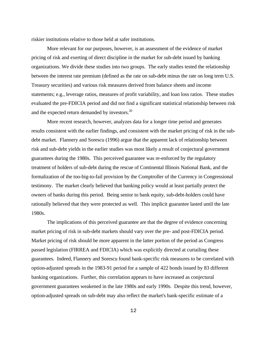riskier institutions relative to those held at safer institutions.

More relevant for our purposes, however, is an assessment of the evidence of market pricing of risk and exerting of direct discipline in the market for sub-debt issued by banking organizations. We divide these studies into two groups. The early studies tested the relationship between the interest rate premium (defined as the rate on sub-debt minus the rate on long term U.S. Treasury securities) and various risk measures derived from balance sheets and income statements; e.g., leverage ratios, measures of profit variability, and loan loss ratios. These studies evaluated the pre-FDICIA period and did not find a significant statistical relationship between risk and the expected return demanded by investors.<sup>20</sup>

More recent research, however, analyzes data for a longer time period and generates results consistent with the earlier findings, and consistent with the market pricing of risk in the subdebt market. Flannery and Sorescu (1996) argue that the apparent lack of relationship between risk and sub-debt yields in the earlier studies was most likely a result of conjectural government guarantees during the 1980s. This perceived guarantee was re-enforced by the regulatory treatment of holders of sub-debt during the rescue of Continental Illinois National Bank, and the formalization of the too-big-to-fail provision by the Comptroller of the Currency in Congressional testimony. The market clearly believed that banking policy would at least partially protect the owners of banks during this period. Being senior to bank equity, sub-debt-holders could have rationally believed that they were protected as well. This implicit guarantee lasted until the late 1980s.

The implications of this perceived guarantee are that the degree of evidence concerning market pricing of risk in sub-debt markets should vary over the pre- and post-FDICIA period. Market pricing of risk should be more apparent in the latter portion of the period as Congress passed legislation (FIRREA and FDICIA) which was explicitly directed at curtailing these guarantees. Indeed, Flannery and Sorescu found bank-specific risk measures to be correlated with option-adjusted spreads in the 1983-91 period for a sample of 422 bonds issued by 83 different banking organizations. Further, this correlation appears to have increased as conjectural government guarantees weakened in the late 1980s and early 1990s. Despite this trend, however, option-adjusted spreads on sub-debt may also reflect the market's bank-specific estimate of a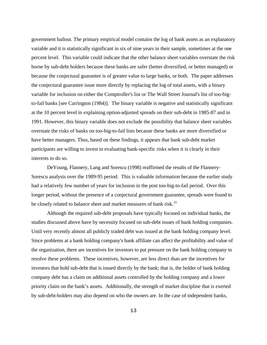government bailout. The primary empirical model contains the log of bank assets as an explanatory variable and it is statistically significant in six of nine years in their sample, sometimes at the one percent level. This variable could indicate that the other balance sheet variables overstate the risk borne by sub-debt holders because these banks are safer (better diversified, or better managed) or because the conjectural guarantee is of greater value to large banks, or both. The paper addresses the conjectural guarantee issue more directly by replacing the log of total assets, with a binary variable for inclusion on either the Comptroller's list or The Wall Street Journal's list of too-bigto-fail banks [see Carrington (1984)]. The binary variable is negative and statistically significant at the 10 percent level in explaining option-adjusted spreads on their sub-debt in 1985-87 and in 1991. However, this binary variable does not exclude the possibility that balance sheet variables overstate the risks of banks on too-big-to-fail lists because these banks are more diversified or have better managers. Thus, based on these findings, it appears that bank sub-debt market participants are willing to invest in evaluating bank-specific risks when it is clearly in their interests to do so.

DeYoung, Flannery, Lang and Sorescu (1998) reaffirmed the results of the Flannery-Sorescu analysis over the 1989-95 period. This is valuable information because the earlier study had a relatively few number of years for inclusion in the post too-big-to-fail period. Over this longer period, without the presence of a conjectural government guarantee, spreads were found to be closely related to balance sheet and market measures of bank risk.<sup>21</sup>

Although the required sub-debt proposals have typically focused on individual banks, the studies discussed above have by necessity focused on sub-debt issues of bank holding companies. Until very recently almost all publicly traded debt was issued at the bank holding company level. Since problems at a bank holding company's bank affiliate can affect the profitability and value of the organization, there are incentives for investors to put pressure on the bank holding company to resolve these problems. These incentives, however, are less direct than are the incentives for investors that hold sub-debt that is issued directly by the bank; that is, the holder of bank holding company debt has a claim on additional assets controlled by the holding company and a lower priority claim on the bank's assets. Additionally, the strength of market discipline that is exerted by sub-debt-holders may also depend on who the owners are. In the case of independent banks,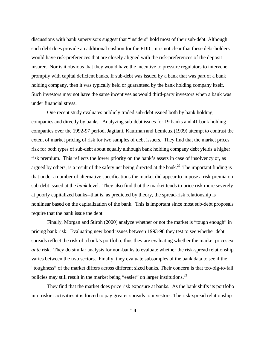discussions with bank supervisors suggest that "insiders" hold most of their sub-debt. Although such debt does provide an additional cushion for the FDIC, it is not clear that these debt-holders would have risk-preferences that are closely aligned with the risk-preferences of the deposit insurer. Nor is it obvious that they would have the incentive to pressure regulators to intervene promptly with capital deficient banks. If sub-debt was issued by a bank that was part of a bank holding company, then it was typically held or guaranteed by the bank holding company itself. Such investors may not have the same incentives as would third-party investors when a bank was under financial stress.

One recent study evaluates publicly traded sub-debt issued both by bank holding companies and directly by banks. Analyzing sub-debt issues for 19 banks and 41 bank holding companies over the 1992-97 period, Jagtiani, Kaufman and Lemieux (1999) attempt to contrast the extent of market pricing of risk for two samples of debt issuers. They find that the market prices risk for both types of sub-debt about equally although bank holding company debt yields a higher risk premium. This reflects the lower priority on the bank's assets in case of insolvency or, as argued by others, is a result of the safety net being directed at the bank.<sup>22</sup> The important finding is that under a number of alternative specifications the market did appear to impose a risk premia on sub-debt issued at the *bank* level. They also find that the market tends to price risk more severely at poorly capitalized banks--that is, as predicted by theory, the spread-risk relationship is nonlinear based on the capitalization of the bank. This is important since most sub-debt proposals require that the bank issue the debt.

Finally, Morgan and Stiroh (2000) analyze whether or not the market is "tough enough" in pricing bank risk. Evaluating new bond issues between 1993-98 they test to see whether debt spreads reflect the risk of a bank's portfolio; thus they are evaluating whether the market prices *ex ante* risk. They do similar analysis for non-banks to evaluate whether the risk-spread relationship varies between the two sectors. Finally, they evaluate subsamples of the bank data to see if the "toughness" of the market differs across different sized banks. Their concern is that too-big-to-fail policies may still result in the market being "easier" on larger institutions.<sup>23</sup>

They find that the market does price risk exposure at banks. As the bank shifts its portfolio into riskier activities it is forced to pay greater spreads to investors. The risk-spread relationship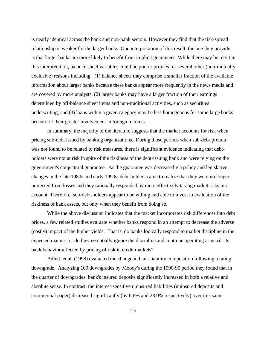is nearly identical across the bank and non-bank sectors. However they find that the risk-spread relationship is weaker for the larger banks. One interpretation of this result, the one they provide, is that larger banks are more likely to benefit from implicit guarantees. While there may be merit in this interpretation, balance sheet variables could be poorer proxies for several other (non-mutually exclusive) reasons including: (1) balance sheets may comprise a smaller fraction of the available information about larger banks because these banks appear more frequently in the news media and are covered by more analysts, (2) larger banks may have a larger fraction of their earnings determined by off-balance sheet items and non-traditional activities, such as securities underwriting, and (3) loans within a given category may be less homogenous for some large banks because of their greater involvement in foreign markets.

In summary, the majority of the literature suggests that the market accounts for risk when pricing sub-debt issued by banking organizations. During those periods when sub-debt premia was not found to be related to risk measures, there is significant evidence indicating that debtholders were not at risk in spite of the riskiness of the debt-issuing bank and were relying on the government's conjectural guarantee. As the guarantee was decreased via policy and legislative changes in the late 1980s and early 1990s, debt-holders came to realize that they were no longer protected from losses and they rationally responded by more effectively taking market risks into account. Therefore, sub-debt-holders appear to be willing and able to invest in evaluation of the riskiness of bank assets, but only when they benefit from doing so.

While the above discussion indicates that the market incorporates risk differences into debt prices, a few related studies evaluate whether banks respond in an attempt to decrease the adverse (costly) impact of the higher yields. That is, do banks logically respond to market discipline in the expected manner, or do they essentially ignore the discipline and continue operating as usual. Is bank behavior affected by pricing of risk in credit markets?

Billett, et al. (1998) evaluated the change in bank liability composition following a rating downgrade. Analyzing 109 downgrades by Moody's during the 1990-95 period they found that in the quarter of downgrades, bank's insured deposits significantly increased in both a relative and absolute sense. In contrast, the interest-sensitive uninsured liabilities (uninsured deposits and commercial paper) decreased significantly (by 6.6% and 28.0% respectively) over this same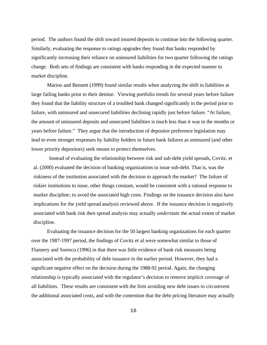period. The authors found the shift toward insured deposits to continue into the following quarter. Similarly, evaluating the response to ratings upgrades they found that banks responded by significantly increasing their reliance on uninsured liabilities for two quarter following the ratings change. Both sets of findings are consistent with banks responding in the expected manner to market discipline.

Marino and Bennett (1999) found similar results when analyzing the shift in liabilities at large failing banks prior to their demise. Viewing portfolio trends for several years before failure they found that the liability structure of a troubled bank changed significantly in the period prior to failure, with uninsured and unsecured liabilities declining rapidly just before failure. "At failure, the amount of uninsured deposits and unsecured liabilities is much less than it was in the months or years before failure." They argue that the introduction of depositor preference legislation may lead to even stronger responses by liability holders in future bank failures as uninsured (and other lower priority depositors) seek means to protect themselves.

Instead of evaluating the relationship between risk and sub-debt yield spreads, Covitz, et al. (2000) evaluated the decision of banking organizations to issue sub-debt. That is, was the riskiness of the institution associated with the decision to approach the market? The failure of riskier institutions to issue, other things constant, would be consistent with a rational response to market discipline; to avoid the associated high costs. Findings on the issuance decision also have implications for the yield spread analysis reviewed above. If the issuance decision is negatively associated with bank risk then spread analysis may actually *understate* the actual extent of market discipline.

Evaluating the issuance decision for the 50 largest banking organizations for each quarter over the 1987-1997 period, the findings of Covitz et al.were somewhat similar to those of Flannery and Sorescu (1996) in that there was little evidence of bank risk measures being associated with the probability of debt issuance in the earlier period. However, they had a significant negative effect on the decision during the 1988-92 period. Again, the changing relationship is typically associated with the regulator's decision to remove implicit coverage of all liabilities. These results are consistent with the firm avoiding new debt issues to circumvent the additional associated costs, and with the contention that the debt pricing literature may actually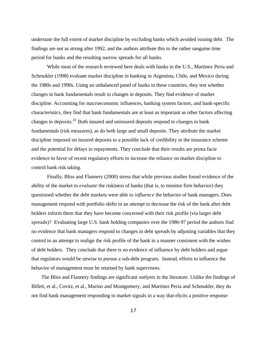understate the full extent of market discipline by excluding banks which avoided issuing debt. The findings are not as strong after 1992, and the authors attribute this to the rather sanguine time period for banks and the resulting narrow spreads for all banks.

While most of the research reviewed here deals with banks in the U.S., Martinez Peria and Schmukler (1998) evaluate market discipline in banking in Argentina, Chile, and Mexico during the 1980s and 1990s. Using an unbalanced panel of banks in these countries, they test whether changes in bank fundamentals result in changes in deposits. They find evidence of market discipline. Accounting for macroeconomic influences, banking system factors, and bank-specific characteristics, they find that bank fundamentals are at least as important as other factors affecting changes in deposits. $^{24}$  Both insured and uninsured deposits respond to changes in bank fundamentals (risk measures), as do both large and small deposits. They attribute the market discipline imposed on insured deposits to a possible lack of credibility in the insurance scheme and the potential for delays in repayments. They conclude that their results are prima facie evidence in favor of recent regulatory efforts to increase the reliance on market discipline to control bank risk taking.

Finally, Bliss and Flannery (2000) stress that while previous studies found evidence of the ability of the market to *evaluate* the riskiness of banks (that is, to monitor firm behavior) they questioned whether the debt markets were able to *influence* the behavior of bank managers. Does management respond with portfolio shifts in an attempt to decrease the risk of the bank after debt holders inform them that they have become concerned with their risk profile (via larger debt spreads)? Evaluating large U.S. bank holding companies over the 1986-97 period the authors find no evidence that bank managers respond to changes in debt spreads by adjusting variables that they control in an attempt to realign the risk profile of the bank in a manner consistent with the wishes of debt holders. They conclude that there is no evidence of influence by debt holders and argue that regulators would be unwise to pursue a sub-debt program. Instead, efforts to influence the behavior of management must be retained by bank supervisors.

The Bliss and Flannery findings are significant outlyers in the literature. Unlike the findings of Billett, et al., Covitz, et al., Marino and Montgomery, and Martinez Peria and Schmukler, they do not find bank management responding to market signals in a way that elicits a positive response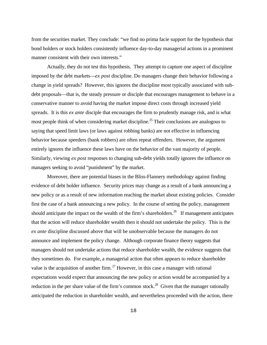from the securities market. They conclude: "we find no prima facie support for the hypothesis that bond holders or stock holders consistently influence day-to-day managerial actions in a prominent manner consistent with their own interests."

Actually, they do not test this hypothesis. They attempt to capture one aspect of discipline imposed by the debt markets—*ex post* discipline. Do managers change their behavior following a change in yield spreads? However, this ignores the discipline most typically associated with subdebt proposals—that is, the steady pressure or disciple that encourages management to behave in a conservative manner to avoid having the market impose direct costs through increased yield spreads. It is this *ex ante* disciple that encourages the firm to prudently manage risk, and is what most people think of when considering market discipline.<sup>25</sup> Their conclusions are analogous to saying that speed limit laws (or laws against robbing banks) are not effective in influencing behavior because speeders (bank robbers) are often repeat offenders. However, the argument entirely ignores the influence these laws have on the behavior of the vast majority of people. Similarly, viewing *ex post* responses to changing sub-debt yields totally ignores the influence on managers seeking to avoid "punishment" by the market.

Moreover, there are potential biases in the Bliss-Flannery methodology against finding evidence of debt holder influence. Security prices may change as a result of a bank announcing a new policy or as a result of new information reaching the market about existing policies. Consider first the case of a bank announcing a new policy. In the course of setting the policy, management should anticipate the impact on the wealth of the firm's shareholders.<sup>26</sup> If management anticipates that the action will reduce shareholder wealth then it should not undertake the policy. This is the *ex ante* discipline discussed above that will be unobservable because the managers do not announce and implement the policy change. Although corporate finance theory suggests that managers should not undertake actions that reduce shareholder wealth, the evidence suggests that they sometimes do. For example, a managerial action that often appears to reduce shareholder value is the acquisition of another firm.<sup>27</sup> However, in this case a manager with rational expectations would expect that announcing the new policy or action would be accompanied by a reduction in the per share value of the firm's common stock.<sup>28</sup> Given that the manager rationally anticipated the reduction in shareholder wealth, and nevertheless proceeded with the action, there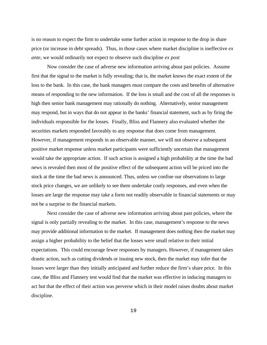is no reason to expect the firm to undertake some further action in response to the drop in share price (or increase in debt spreads). Thus, in those cases where market discipline is ineffective *ex ante*, we would ordinarily not expect to observe such discipline *ex post*

Now consider the case of adverse new information arriving about past policies. Assume first that the signal to the market is fully revealing; that is, the market knows the exact extent of the loss to the bank. In this case, the bank managers must compare the costs and benefits of alternative means of responding to the new information. If the loss is small and the cost of all the responses is high then senior bank management may rationally do nothing. Alternatively, senior management may respond, but in ways that do not appear in the banks' financial statement, such as by firing the individuals responsible for the losses. Finally, Bliss and Flannery also evaluated whether the securities markets responded favorably to any response that does come from management. However, if management responds in an observable manner, we will not observe a subsequent positive market response unless market participants were sufficiently uncertain that management would take the appropriate action. If such action is assigned a high probability at the time the bad news is revealed then most of the positive effect of the subsequent action will be priced into the stock at the time the bad news is announced. Thus, unless we confine our observations to large stock price changes, we are unlikely to see them undertake costly responses, and even when the losses are large the response may take a form not readily observable in financial statements or may not be a surprise to the financial markets.

Next consider the case of adverse new information arriving about past policies, where the signal is only partially revealing to the market. In this case, management's response to the news may provide additional information to the market. If management does nothing then the market may assign a higher probability to the belief that the losses were small relative to their initial expectations. This could encourage fewer responses by managers. However, if management takes drastic action, such as cutting dividends or issuing new stock, then the market may infer that the losses were larger than they initially anticipated and further reduce the firm's share price. In this case, the Bliss and Flannery test would find that the market was effective in inducing managers to act but that the effect of their action was perverse which in their model raises doubts about market discipline.

19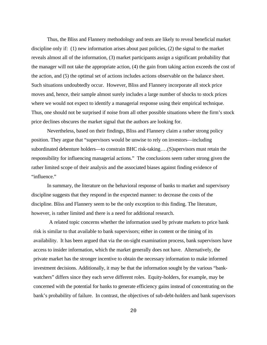Thus, the Bliss and Flannery methodology and tests are likely to reveal beneficial market discipline only if: (1) new information arises about past policies, (2) the signal to the market reveals almost all of the information, (3) market participants assign a significant probability that the manager will not take the appropriate action, (4) the gain from taking action exceeds the cost of the action, and (5) the optimal set of actions includes actions observable on the balance sheet. Such situations undoubtedly occur. However, Bliss and Flannery incorporate all stock price moves and, hence, their sample almost surely includes a large number of shocks to stock prices where we would not expect to identify a managerial response using their empirical technique. Thus, one should not be surprised if noise from all other possible situations where the firm's stock price declines obscures the market signal that the authors are looking for.

Nevertheless, based on their findings, Bliss and Flannery claim a rather strong policy position. They argue that "supervisors would be unwise to rely on investors—including subordinated debenture holders—to constrain BHC risk-taking….(S)upervisors must retain the responsibility for influencing managerial actions." The conclusions seem rather strong given the rather limited scope of their analysis and the associated biases against finding evidence of "influence."

In summary, the literature on the behavioral response of banks to market and supervisory discipline suggests that they respond in the expected manner: to decrease the costs of the discipline. Bliss and Flannery seem to be the only exception to this finding. The literature, however, is rather limited and there is a need for additional research.

A related topic concerns whether the information used by private markets to price bank risk is similar to that available to bank supervisors; either in content or the timing of its availability. It has been argued that via the on-sight examination process, bank supervisors have access to insider information, which the market generally does not have. Alternatively, the private market has the stronger incentive to obtain the necessary information to make informed investment decisions. Additionally, it may be that the information sought by the various "bankwatchers" differs since they each serve different roles. Equity-holders, for example, may be concerned with the potential for banks to generate efficiency gains instead of concentrating on the bank's probability of failure. In contrast, the objectives of sub-debt-holders and bank supervisors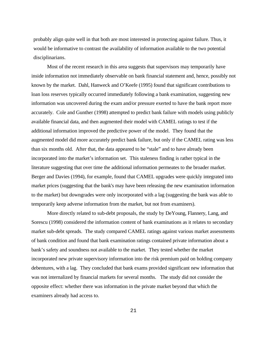probably align quite well in that both are most interested in protecting against failure. Thus, it would be informative to contrast the availability of information available to the two potential disciplinarians.

Most of the recent research in this area suggests that supervisors may temporarily have inside information not immediately observable on bank financial statement and, hence, possibly not known by the market. Dahl, Hanweck and O'Keefe (1995) found that significant contributions to loan loss reserves typically occurred immediately following a bank examination, suggesting new information was uncovered during the exam and/or pressure exerted to have the bank report more accurately. Cole and Gunther (1998) attempted to predict bank failure with models using publicly available financial data, and then augmented their model with CAMEL ratings to test if the additional information improved the predictive power of the model. They found that the augmented model did more accurately predict bank failure, but only if the CAMEL rating was less than six months old. After that, the data appeared to be "stale" and to have already been incorporated into the market's information set. This staleness finding is rather typical in the literature suggesting that over time the additional information permeates to the broader market. Berger and Davies (1994), for example, found that CAMEL upgrades were quickly integrated into market prices (suggesting that the bank's may have been releasing the new examination information to the market) but downgrades were only incorporated with a lag (suggesting the bank was able to temporarily keep adverse information from the market, but not from examiners).

More directly related to sub-debt proposals, the study by DeYoung, Flannery, Lang, and Sorescu (1998) considered the information content of bank examinations as it relates to secondary market sub-debt spreads. The study compared CAMEL ratings against various market assessments of bank condition and found that bank examination ratings contained private information about a bank's safety and soundness not available to the market. They tested whether the market incorporated new private supervisory information into the risk premium paid on holding company debentures, with a lag. They concluded that bank exams provided significant new information that was not internalized by financial markets for several months. The study did not consider the opposite effect: whether there was information in the private market beyond that which the examiners already had access to.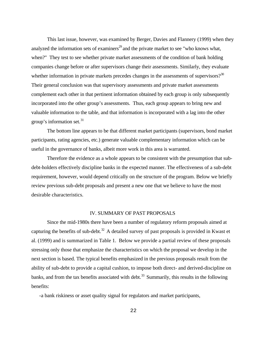This last issue, however, was examined by Berger, Davies and Flannery (1999) when they analyzed the information sets of examiners<sup>29</sup> and the private market to see "who knows what, when?" They test to see whether private market assessments of the condition of bank holding companies change before or after supervisors change their assessments. Similarly, they evaluate whether information in private markets precedes changes in the assessments of supervisors?<sup>30</sup> Their general conclusion was that supervisory assessments and private market assessments complement each other in that pertinent information obtained by each group is only subsequently incorporated into the other group's assessments. Thus, each group appears to bring new and valuable information to the table, and that information is incorporated with a lag into the other group's information set. $31$ 

The bottom line appears to be that different market participants (supervisors, bond market participants, rating agencies, etc.) generate valuable complementary information which can be useful in the governance of banks, albeit more work in this area is warranted.

Therefore the evidence as a whole appears to be consistent with the presumption that subdebt-holders effectively discipline banks in the expected manner. The effectiveness of a sub-debt requirement, however, would depend critically on the structure of the program. Below we briefly review previous sub-debt proposals and present a new one that we believe to have the most desirable characteristics.

#### IV. SUMMARY OF PAST PROPOSALS

Since the mid-1980s there have been a number of regulatory reform proposals aimed at capturing the benefits of sub-debt. $32$  A detailed survey of past proposals is provided in Kwast et al. (1999) and is summarized in Table 1. Below we provide a partial review of these proposals stressing only those that emphasize the characteristics on which the proposal we develop in the next section is based. The typical benefits emphasized in the previous proposals result from the ability of sub-debt to provide a capital cushion, to impose both direct- and derived-discipline on banks, and from the tax benefits associated with debt.<sup>33</sup> Summarily, this results in the following benefits:

-a bank riskiness or asset quality signal for regulators and market participants,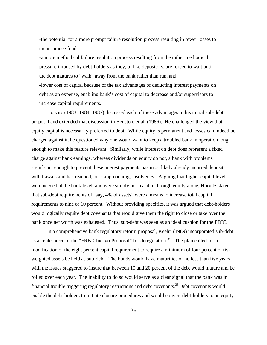-the potential for a more prompt failure resolution process resulting in fewer losses to the insurance fund,

-a more methodical failure resolution process resulting from the rather methodical pressure imposed by debt-holders as they, unlike depositors, are forced to wait until the debt matures to "walk" away from the bank rather than run, and -lower cost of capital because of the tax advantages of deducting interest payments on debt as an expense, enabling bank's cost of capital to decrease and/or supervisors to increase capital requirements.

Horvitz (1983, 1984, 1987) discussed each of these advantages in his initial sub-debt proposal and extended that discussion in Benston, et al. (1986). He challenged the view that equity capital is necessarily preferred to debt. While equity is permanent and losses can indeed be charged against it, he questioned why one would want to keep a troubled bank in operation long enough to make this feature relevant. Similarly, while interest on debt does represent a fixed charge against bank earnings, whereas dividends on equity do not, a bank with problems significant enough to prevent these interest payments has most likely already incurred deposit withdrawals and has reached, or is approaching, insolvency. Arguing that higher capital levels were needed at the bank level, and were simply not feasible through equity alone, Horvitz stated that sub-debt requirements of "say, 4% of assets" were a means to increase total capital requirements to nine or 10 percent. Without providing specifics, it was argued that debt-holders would logically require debt covenants that would give them the right to close or take over the bank once net worth was exhausted. Thus, sub-debt was seen as an ideal cushion for the FDIC.

In a comprehensive bank regulatory reform proposal, Keehn (1989) incorporated sub-debt as a centerpiece of the "FRB-Chicago Proposal" for deregulation.<sup>34</sup> The plan called for a modification of the eight percent capital requirement to require a minimum of four percent of riskweighted assets be held as sub-debt. The bonds would have maturities of no less than five years, with the issues staggered to insure that between 10 and 20 percent of the debt would mature and be rolled over each year. The inability to do so would serve as a clear signal that the bank was in financial trouble triggering regulatory restrictions and debt covenants.<sup>35</sup> Debt covenants would enable the debt-holders to initiate closure procedures and would convert debt-holders to an equity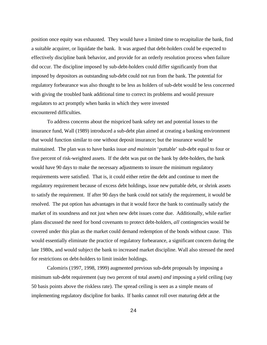position once equity was exhausted. They would have a limited time to recapitalize the bank, find a suitable acquirer, or liquidate the bank. It was argued that debt-holders could be expected to effectively discipline bank behavior, and provide for an orderly resolution process when failure did occur. The discipline imposed by sub-debt-holders could differ significantly from that imposed by depositors as outstanding sub-debt could not run from the bank. The potential for regulatory forbearance was also thought to be less as holders of sub-debt would be less concerned with giving the troubled bank additional time to correct its problems and would pressure regulators to act promptly when banks in which they were invested encountered difficulties.

To address concerns about the mispriced bank safety net and potential losses to the insurance fund, Wall (1989) introduced a sub-debt plan aimed at creating a banking environment that would function similar to one without deposit insurance; but the insurance would be maintained. The plan was to have banks issue *and maintain* 'puttable' sub-debt equal to four or five percent of risk-weighted assets. If the debt was put on the bank by debt-holders, the bank would have 90 days to make the necessary adjustments to insure the minimum regulatory requirements were satisfied. That is, it could either retire the debt and continue to meet the regulatory requirement because of excess debt holdings, issue new puttable debt, or shrink assets to satisfy the requirement. If after 90 days the bank could not satisfy the requirement, it would be resolved. The put option has advantages in that it would force the bank to continually satisfy the market of its soundness and not just when new debt issues come due. Additionally, while earlier plans discussed the need for bond covenants to protect debt-holders, *all* contingencies would be covered under this plan as the market could demand redemption of the bonds without cause. This would essentially eliminate the practice of regulatory forbearance, a significant concern during the late 1980s, and would subject the bank to increased market discipline. Wall also stressed the need for restrictions on debt-holders to limit insider holdings.

Calomiris (1997, 1998, 1999) augmented previous sub-debt proposals by imposing a minimum sub-debt requirement (say two percent of total assets) *and* imposing a yield ceiling (say 50 basis points above the riskless rate). The spread ceiling is seen as a simple means of implementing regulatory discipline for banks. If banks cannot roll over maturing debt at the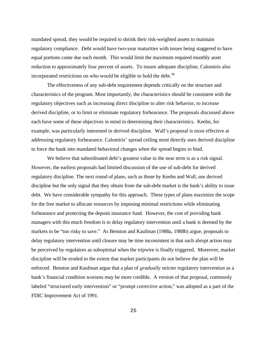mandated spread, they would be required to shrink their risk-weighted assets to maintain regulatory compliance. Debt would have two-year maturities with issues being staggered to have equal portions come due each month. This would limit the maximum required monthly asset reduction to approximately four percent of assets. To insure adequate discipline, Calomiris also incorporated restrictions on who would be eligible to hold the debt.<sup>36</sup>

The effectiveness of any sub-debt requirement depends critically on the structure and characteristics of the program. Most importantly, the characteristics should be consistent with the regulatory objectives such as increasing direct discipline to alter risk behavior, to increase derived discipline, or to limit or eliminate regulatory forbearance. The proposals discussed above each have some of these objectives in mind in determining their characteristics. Keehn, for example, was particularly interested in derived discipline. Wall's proposal is most effective at addressing regulatory forbearance. Calomiris' spread ceiling most directly uses derived discipline to force the bank into mandated behavioral changes when the spread begins to bind.

We believe that subordinated debt's greatest value in the near term is as a risk signal. However, the earliest proposals had limited discussion of the use of sub-debt for derived regulatory discipline. The next round of plans, such as those by Keehn and Wall, use derived discipline but the only signal that they obtain from the sub-debt market is the bank's ability to issue debt. We have considerable sympathy for this approach. These types of plans maximize the scope for the free market to allocate resources by imposing minimal restrictions while eliminating forbearance and protecting the deposit insurance fund. However, the cost of providing bank managers with this much freedom is to delay regulatory intervention until a bank is deemed by the markets to be "too risky to save." As Benston and Kaufman (1988a, 1988b) argue, proposals to delay regulatory intervention until closure may be time inconsistent in that such abrupt action may be perceived by regulators as suboptimal when the tripwire is finally triggered. Moreover, market discipline will be eroded to the extent that market participants do not believe the plan will be enforced. Benston and Kaufman argue that a plan of *gradually* stricter regulatory intervention as a bank's financial condition worsens may be more credible. A version of that proposal, commonly labeled "structured early intervention" or "prompt corrective action," was adopted as a part of the FDIC Improvement Act of 1991.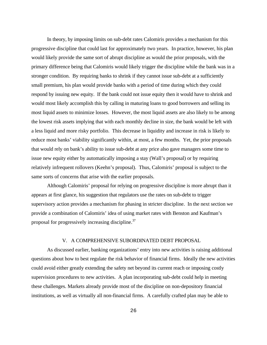In theory, by imposing limits on sub-debt rates Calomiris provides a mechanism for this progressive discipline that could last for approximately two years. In practice, however, his plan would likely provide the same sort of abrupt discipline as would the prior proposals, with the primary difference being that Calomiris would likely trigger the discipline while the bank was in a stronger condition. By requiring banks to shrink if they cannot issue sub-debt at a sufficiently small premium, his plan would provide banks with a period of time during which they could respond by issuing new equity. If the bank could not issue equity then it would have to shrink and would most likely accomplish this by calling in maturing loans to good borrowers and selling its most liquid assets to minimize losses. However, the most liquid assets are also likely to be among the lowest risk assets implying that with each monthly decline in size, the bank would be left with a less liquid and more risky portfolio. This decrease in liquidity and increase in risk is likely to reduce most banks' viability significantly within, at most, a few months. Yet, the prior proposals that would rely on bank's ability to issue sub-debt at any price also gave managers some time to issue new equity either by automatically imposing a stay (Wall's proposal) or by requiring relatively infrequent rollovers (Keehn's proposal). Thus, Calomiris' proposal is subject to the same sorts of concerns that arise with the earlier proposals.

Although Calomiris' proposal for relying on progressive discipline is more abrupt than it appears at first glance, his suggestion that regulators use the rates on sub-debt to trigger supervisory action provides a mechanism for phasing in stricter discipline. In the next section we provide a combination of Calomiris' idea of using market rates with Benston and Kaufman's proposal for progressively increasing discipline.<sup>37</sup>

#### V. A COMPREHENSIVE SUBORDINATED DEBT PROPOSAL

As discussed earlier, banking organizations' entry into new activities is raising additional questions about how to best regulate the risk behavior of financial firms. Ideally the new activities could avoid either greatly extending the safety net beyond its current reach or imposing costly supervision procedures to new activities. A plan incorporating sub-debt could help in meeting these challenges. Markets already provide most of the discipline on non-depository financial institutions, as well as virtually all non-financial firms. A carefully crafted plan may be able to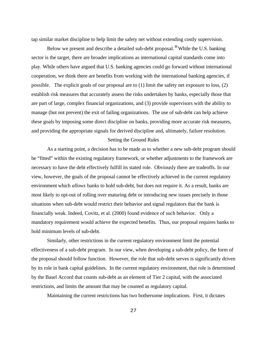tap similar market discipline to help limit the safety net without extending costly supervision.

Below we present and describe a detailed sub-debt proposal.<sup>38</sup> While the U.S. banking sector is the target, there are broader implications as international capital standards come into play. While others have argued that U.S. banking agencies could go forward without international cooperation, we think there are benefits from working with the international banking agencies, if possible. The explicit goals of our proposal are to (1) limit the safety net exposure to loss, (2) establish risk measures that accurately assess the risks undertaken by banks, especially those that are part of large, complex financial organizations, and (3) provide supervisors with the ability to manage (but not prevent) the exit of failing organizations. The use of sub-debt can help achieve these goals by imposing some direct discipline on banks, providing more accurate risk measures, and providing the appropriate signals for derived discipline and, ultimately, failure resolution.

#### Setting the Ground Rules

As a starting point, a decision has to be made as to whether a new sub-debt program should be "fitted" within the existing regulatory framework, or whether adjustments to the framework are necessary to have the debt effectively fulfill its stated role. Obviously there are tradeoffs. In our view, however, the goals of the proposal cannot be effectively achieved in the current regulatory environment which *allows* banks to hold sub-debt, but does not require it. As a result, banks are most likely to opt-out of rolling over maturing debt or introducing new issues precisely in those situations when sub-debt would restrict their behavior and signal regulators that the bank is financially weak. Indeed, Covitz, et al. (2000) found evidence of such behavior. Only a mandatory requirement would achieve the expected benefits. Thus, our proposal requires banks to hold minimum levels of sub-debt.

Similarly, other restrictions in the current regulatory environment limit the potential effectiveness of a sub-debt program. In our view, when developing a sub-debt policy, the form of the proposal should follow function. However, the role that sub-debt serves is significantly driven by its role in bank capital guidelines. In the current regulatory environment, that role is determined by the Basel Accord that counts sub-debt as an element of Tier 2 capital, with the associated restrictions, and limits the amount that may be counted as regulatory capital.

Maintaining the current restrictions has two bothersome implications. First, it dictates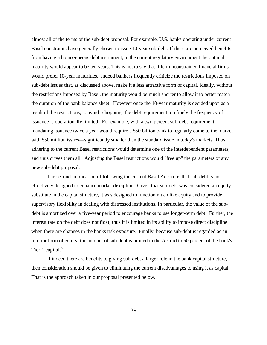almost all of the terms of the sub-debt proposal. For example, U.S. banks operating under current Basel constraints have generally chosen to issue 10-year sub-debt. If there are perceived benefits from having a homogeneous debt instrument, in the current regulatory environment the optimal maturity would appear to be ten years. This is not to say that if left unconstrained financial firms would prefer 10-year maturities. Indeed bankers frequently criticize the restrictions imposed on sub-debt issues that, as discussed above, make it a less attractive form of capital. Ideally, without the restrictions imposed by Basel, the maturity would be much shorter to allow it to better match the duration of the bank balance sheet. However once the 10-year maturity is decided upon as a result of the restrictions, to avoid "chopping" the debt requirement too finely the frequency of issuance is operationally limited. For example, with a two percent sub-debt requirement, mandating issuance twice a year would require a \$50 billion bank to regularly come to the market with \$50 million issues—significantly smaller than the standard issue in today's markets. Thus adhering to the current Basel restrictions would determine one of the interdependent parameters, and thus drives them all. Adjusting the Basel restrictions would "free up" the parameters of any new sub-debt proposal.

The second implication of following the current Basel Accord is that sub-debt is not effectively designed to enhance market discipline. Given that sub-debt was considered an equity substitute in the capital structure, it was designed to function much like equity and to provide supervisory flexibility in dealing with distressed institutions. In particular, the value of the subdebt is amortized over a five-year period to encourage banks to use longer-term debt. Further, the interest rate on the debt does not float; thus it is limited in its ability to impose direct discipline when there are changes in the banks risk exposure. Finally, because sub-debt is regarded as an inferior form of equity, the amount of sub-debt is limited in the Accord to 50 percent of the bank's Tier 1 capital. $39$ 

If indeed there are benefits to giving sub-debt a larger role in the bank capital structure, then consideration should be given to eliminating the current disadvantages to using it as capital. That is the approach taken in our proposal presented below.

28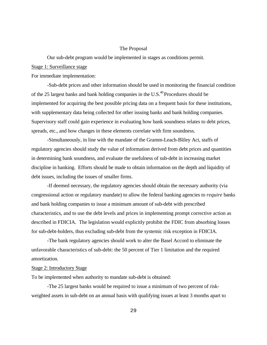#### The Proposal

Our sub-debt program would be implemented in stages as conditions permit.

#### Stage 1: Surveillance stage

For immediate implementation:

-Sub-debt prices and other information should be used in monitoring the financial condition of the 25 largest banks and bank holding companies in the U.S.<sup>40</sup> Procedures should be implemented for acquiring the best possible pricing data on a frequent basis for these institutions, with supplementary data being collected for other issuing banks and bank holding companies. Supervisory staff could gain experience in evaluating how bank soundness relates to debt prices, spreads, etc., and how changes in these elements correlate with firm soundness.

-Simultaneously, in line with the mandate of the Gramm-Leach-Bliley Act, staffs of regulatory agencies should study the value of information derived from debt prices and quantities in determining bank soundness, and evaluate the usefulness of sub-debt in increasing market discipline in banking. Efforts should be made to obtain information on the depth and liquidity of debt issues, including the issues of smaller firms.

-If deemed necessary, the regulatory agencies should obtain the necessary authority (via congressional action or regulatory mandate) to allow the federal banking agencies to *require* banks and bank holding companies to issue a minimum amount of sub-debt with prescribed characteristics, and to use the debt levels and prices in implementing prompt corrective action as described in FDICIA. The legislation would explicitly prohibit the FDIC from absorbing losses for sub-debt-holders, thus excluding sub-debt from the systemic risk exception in FDICIA.

-The bank regulatory agencies should work to alter the Basel Accord to eliminate the unfavorable characteristics of sub-debt: the 50 percent of Tier 1 limitation and the required amortization.

#### Stage 2: Introductory Stage

To be implemented when authority to mandate sub-debt is obtained:

-The 25 largest banks would be required to issue a minimum of two percent of riskweighted assets in sub-debt on an annual basis with qualifying issues at least 3 months apart to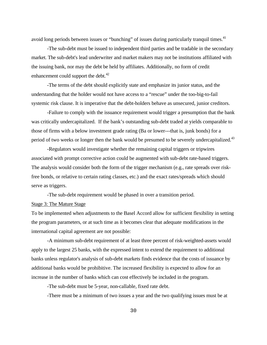avoid long periods between issues or "bunching" of issues during particularly tranquil times.<sup>41</sup>

-The sub-debt must be issued to independent third parties and be tradable in the secondary market. The sub-debt's lead underwriter and market makers may not be institutions affiliated with the issuing bank, nor may the debt be held by affiliates. Additionally, no form of credit enhancement could support the debt.<sup>42</sup>

-The terms of the debt should explicitly state and emphasize its junior status, and the understanding that the holder would not have access to a "rescue" under the too-big-to-fail systemic risk clause. It is imperative that the debt-holders behave as unsecured, junior creditors.

-Failure to comply with the issuance requirement would trigger a presumption that the bank was critically undercapitalized. If the bank's outstanding sub-debt traded at yields comparable to those of firms with a below investment grade rating (Ba or lower---that is, junk bonds) for a period of two weeks or longer then the bank would be presumed to be severely undercapitalized.<sup>43</sup>

-Regulators would investigate whether the remaining capital triggers or tripwires associated with prompt corrective action could be augmented with sub-debt rate-based triggers. The analysis would consider both the form of the trigger mechanism (e.g., rate spreads over riskfree bonds, or relative to certain rating classes, etc.) and the exact rates/spreads which should serve as triggers.

-The sub-debt requirement would be phased in over a transition period.

#### Stage 3: The Mature Stage

To be implemented when adjustments to the Basel Accord allow for sufficient flexibility in setting the program parameters, or at such time as it becomes clear that adequate modifications in the international capital agreement are not possible:

-A minimum sub-debt requirement of at least three percent of risk-weighted-assets would apply to the largest 25 banks, with the expressed intent to extend the requirement to additional banks unless regulator's analysis of sub-debt markets finds evidence that the costs of issuance by additional banks would be prohibitive. The increased flexibility is expected to allow for an increase in the number of banks which can cost effectively be included in the program.

-The sub-debt must be 5-year, non-callable, fixed rate debt.

-There must be a minimum of two issues a year and the two qualifying issues must be at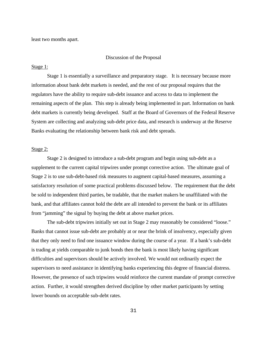least two months apart.

#### Discussion of the Proposal

#### Stage 1:

Stage 1 is essentially a surveillance and preparatory stage. It is necessary because more information about bank debt markets is needed, and the rest of our proposal requires that the regulators have the ability to require sub-debt issuance and access to data to implement the remaining aspects of the plan. This step is already being implemented in part. Information on bank debt markets is currently being developed. Staff at the Board of Governors of the Federal Reserve System are collecting and analyzing sub-debt price data, and research is underway at the Reserve Banks evaluating the relationship between bank risk and debt spreads.

#### Stage 2:

Stage 2 is designed to introduce a sub-debt program and begin using sub-debt as a supplement to the current capital tripwires under prompt corrective action. The ultimate goal of Stage 2 is to use sub-debt-based risk measures to augment capital-based measures, assuming a satisfactory resolution of some practical problems discussed below. The requirement that the debt be sold to independent third parties, be tradable, that the market makers be unaffiliated with the bank, and that affiliates cannot hold the debt are all intended to prevent the bank or its affiliates from "jamming" the signal by buying the debt at above market prices.

The sub-debt tripwires initially set out in Stage 2 may reasonably be considered "loose." Banks that cannot issue sub-debt are probably at or near the brink of insolvency, especially given that they only need to find one issuance window during the course of a year. If a bank's sub-debt is trading at yields comparable to junk bonds then the bank is most likely having significant difficulties and supervisors should be actively involved. We would not ordinarily expect the supervisors to need assistance in identifying banks experiencing this degree of financial distress. However, the presence of such tripwires would reinforce the current mandate of prompt corrective action. Further, it would strengthen derived discipline by other market participants by setting lower bounds on acceptable sub-debt rates.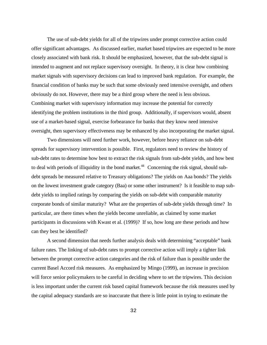The use of sub-debt yields for all of the tripwires under prompt corrective action could offer significant advantages. As discussed earlier, market based tripwires are expected to be more closely associated with bank risk. It should be emphasized, however, that the sub-debt signal is intended to augment and not replace supervisory oversight. In theory, it is clear how combining market signals with supervisory decisions can lead to improved bank regulation. For example, the financial condition of banks may be such that some obviously need intensive oversight, and others obviously do not. However, there may be a third group where the need is less obvious. Combining market with supervisory information may increase the potential for correctly identifying the problem institutions in the third group. Additionally, if supervisors would, absent use of a market-based signal, exercise forbearance for banks that they know need intensive oversight, then supervisory effectiveness may be enhanced by also incorporating the market signal.

Two dimensions will need further work, however, before heavy reliance on sub-debt spreads for supervisory intervention is possible. First, regulators need to review the history of sub-debt rates to determine how best to extract the risk signals from sub-debt yields, and how best to deal with periods of illiquidity in the bond market.<sup>44</sup> Concerning the risk signal, should subdebt spreads be measured relative to Treasury obligations? The yields on Aaa bonds? The yields on the lowest investment grade category (Baa) or some other instrument? Is it feasible to map subdebt yields to implied ratings by comparing the yields on sub-debt with comparable maturity corporate bonds of similar maturity? What are the properties of sub-debt yields through time? In particular, are there times when the yields become unreliable, as claimed by some market participants in discussions with Kwast et al. (1999)? If so, how long are these periods and how can they best be identified?

A second dimension that needs further analysis deals with determining "acceptable" bank failure rates. The linking of sub-debt rates to prompt corrective action will imply a tighter link between the prompt corrective action categories and the risk of failure than is possible under the current Basel Accord risk measures. As emphasized by Mingo (1999), an increase in precision will force senior policymakers to be careful in deciding where to set the tripwires. This decision is less important under the current risk based capital framework because the risk measures used by the capital adequacy standards are so inaccurate that there is little point in trying to estimate the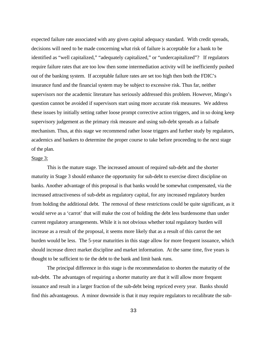expected failure rate associated with any given capital adequacy standard. With credit spreads, decisions will need to be made concerning what risk of failure is acceptable for a bank to be identified as "well capitalized," "adequately capitalized," or "undercapitalized"? If regulators require failure rates that are too low then some intermediation activity will be inefficiently pushed out of the banking system. If acceptable failure rates are set too high then both the FDIC's insurance fund and the financial system may be subject to excessive risk. Thus far, neither supervisors nor the academic literature has seriously addressed this problem. However, Mingo's question cannot be avoided if supervisors start using more accurate risk measures. We address these issues by initially setting rather loose prompt corrective action triggers, and in so doing keep supervisory judgement as the primary risk measure and using sub-debt spreads as a failsafe mechanism. Thus, at this stage we recommend rather loose triggers and further study by regulators, academics and bankers to determine the proper course to take before proceeding to the next stage of the plan.

#### Stage 3:

This is the mature stage. The increased amount of required sub-debt and the shorter maturity in Stage 3 should enhance the opportunity for sub-debt to exercise direct discipline on banks. Another advantage of this proposal is that banks would be somewhat compensated, via the increased attractiveness of sub-debt as regulatory capital, for any increased regulatory burden from holding the additional debt. The removal of these restrictions could be quite significant, as it would serve as a 'carrot' that will make the cost of holding the debt less burdensome than under current regulatory arrangements. While it is not obvious whether total regulatory burden will increase as a result of the proposal, it seems more likely that as a result of this carrot the net burden would be less. The 5-year maturities in this stage allow for more frequent issuance, which should increase direct market discipline and market information. At the same time, five years is thought to be sufficient to tie the debt to the bank and limit bank runs.

The principal difference in this stage is the recommendation to shorten the maturity of the sub-debt. The advantages of requiring a shorter maturity are that it will allow more frequent issuance and result in a larger fraction of the sub-debt being repriced every year. Banks should find this advantageous. A minor downside is that it may require regulators to recalibrate the sub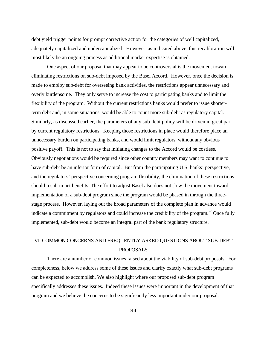debt yield trigger points for prompt corrective action for the categories of well capitalized, adequately capitalized and undercapitalized. However, as indicated above, this recalibration will most likely be an ongoing process as additional market expertise is obtained.

One aspect of our proposal that may appear to be controversial is the movement toward eliminating restrictions on sub-debt imposed by the Basel Accord. However, once the decision is made to employ sub-debt for overseeing bank activities, the restrictions appear unnecessary and overly burdensome. They only serve to increase the cost to participating banks and to limit the flexibility of the program. Without the current restrictions banks would prefer to issue shorterterm debt and, in some situations, would be able to count more sub-debt as regulatory capital. Similarly, as discussed earlier, the parameters of any sub-debt policy will be driven in great part by current regulatory restrictions. Keeping those restrictions in place would therefore place an unnecessary burden on participating banks, and would limit regulators, without any obvious positive payoff. This is not to say that initiating changes to the Accord would be costless. Obviously negotiations would be required since other country members may want to continue to have sub-debt be an inferior form of capital. But from the participating U.S. banks' perspective, and the regulators' perspective concerning program flexibility, the elimination of these restrictions should result in net benefits. The effort to adjust Basel also does not slow the movement toward implementation of a sub-debt program since the program would be phased in through the threestage process. However, laying out the broad parameters of the complete plan in advance would indicate a commitment by regulators and could increase the credibility of the program.<sup>45</sup> Once fully implemented, sub-debt would become an integral part of the bank regulatory structure.

## VI. COMMON CONCERNS AND FREQUENTLY ASKED QUESTIONS ABOUT SUB-DEBT PROPOSALS

There are a number of common issues raised about the viability of sub-debt proposals. For completeness, below we address some of these issues and clarify exactly what sub-debt programs can be expected to accomplish. We also highlight where our proposed sub-debt program specifically addresses these issues. Indeed these issues were important in the development of that program and we believe the concerns to be significantly less important under our proposal.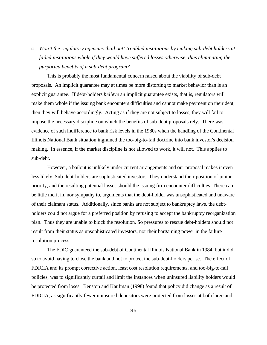<sup>q</sup> *Won't the regulatory agencies 'bail out' troubled institutions by making sub-debt holders at failed institutions whole if they would have suffered losses otherwise, thus eliminating the purported benefits of a sub-debt program?*

This is probably the most fundamental concern raised about the viability of sub-debt proposals. An implicit guarantee may at times be more distorting to market behavior than is an explicit guarantee. If debt-holders *believe* an implicit guarantee exists, that is, regulators will make them whole if the issuing bank encounters difficulties and cannot make payment on their debt, then they will behave accordingly. Acting as if they are not subject to losses, they will fail to impose the necessary discipline on which the benefits of sub-debt proposals rely. There was evidence of such indifference to bank risk levels in the 1980s when the handling of the Continental Illinois National Bank situation ingrained the too-big-to-fail doctrine into bank investor's decision making. In essence, if the market discipline is not allowed to work, it will not. This applies to sub-debt.

However, a bailout is unlikely under current arrangements and our proposal makes it even less likely. Sub-debt-holders are sophisticated investors. They understand their position of junior priority, and the resulting potential losses should the issuing firm encounter difficulties. There can be little merit in, nor sympathy to, arguments that the debt-holder was unsophisticated and unaware of their claimant status. Additionally, since banks are not subject to bankruptcy laws, the debtholders could not argue for a preferred position by refusing to accept the bankruptcy reorganization plan. Thus they are unable to block the resolution. So pressures to rescue debt-holders should not result from their status as unsophisticated investors, nor their bargaining power in the failure resolution process.

The FDIC guaranteed the sub-debt of Continental Illinois National Bank in 1984, but it did so to avoid having to close the bank and not to protect the sub-debt-holders per se. The effect of FDICIA and its prompt corrective action, least cost resolution requirements, and too-big-to-fail policies, was to significantly curtail and limit the instances when uninsured liability holders would be protected from loses. Benston and Kaufman (1998) found that policy did change as a result of FDICIA, as significantly fewer uninsured depositors were protected from losses at both large and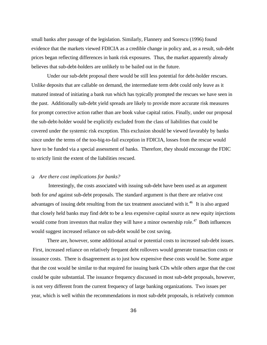small banks after passage of the legislation. Similarly, Flannery and Sorescu (1996) found evidence that the markets viewed FDICIA as a credible change in policy and, as a result, sub-debt prices began reflecting differences in bank risk exposures. Thus, the market apparently already believes that sub-debt-holders are unlikely to be bailed out in the future.

Under our sub-debt proposal there would be still less potential for debt-holder rescues. Unlike deposits that are callable on demand, the intermediate term debt could only leave as it matured instead of initiating a bank run which has typically prompted the rescues we have seen in the past. Additionally sub-debt yield spreads are likely to provide more accurate risk measures for prompt corrective action rather than are book value capital ratios. Finally, under our proposal the sub-debt-holder would be explicitly excluded from the class of liabilities that could be covered under the systemic risk exception. This exclusion should be viewed favorably by banks since under the terms of the too-big-to-fail exception in FDICIA, losses from the rescue would have to be funded via a special assessment of banks. Therefore, they should encourage the FDIC to strictly limit the extent of the liabilities rescued.

#### <sup>q</sup> *Are there cost implications for banks?*

 Interestingly, the costs associated with issuing sub-debt have been used as an argument both for *and* against sub-debt proposals. The standard argument is that there are relative cost advantages of issuing debt resulting from the tax treatment associated with it.<sup>46</sup> It is also argued that closely held banks may find debt to be a less expensive capital source as new equity injections would come from investors that realize they will have a minor ownership role.<sup>47</sup> Both influences would suggest increased reliance on sub-debt would be cost saving.

There are, however, some additional actual or potential costs to increased sub-debt issues. First, increased reliance on relatively frequent debt rollovers would generate transaction costs or issuance costs. There is disagreement as to just how expensive these costs would be. Some argue that the cost would be similar to that required for issuing bank CDs while others argue that the cost could be quite substantial. The issuance frequency discussed in most sub-debt proposals, however, is not very different from the current frequency of large banking organizations. Two issues per year, which is well within the recommendations in most sub-debt proposals, is relatively common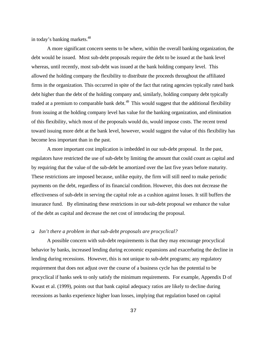in today's banking markets.<sup>48</sup>

A more significant concern seems to be where, within the overall banking organization, the debt would be issued. Most sub-debt proposals require the debt to be issued at the bank level whereas, until recently, most sub-debt was issued at the bank holding company level. This allowed the holding company the flexibility to distribute the proceeds throughout the affiliated firms in the organization. This occurred in spite of the fact that rating agencies typically rated bank debt higher than the debt of the holding company and, similarly, holding company debt typically traded at a premium to comparable bank debt.<sup>49</sup> This would suggest that the additional flexibility from issuing at the holding company level has value for the banking organization, and elimination of this flexibility, which most of the proposals would do, would impose costs. The recent trend toward issuing more debt at the bank level, however, would suggest the value of this flexibility has become less important than in the past.

A more important cost implication is imbedded in our sub-debt proposal. In the past, regulators have restricted the use of sub-debt by limiting the amount that could count as capital and by requiring that the value of the sub-debt be amortized over the last five years before maturity. These restrictions are imposed because, unlike equity, the firm will still need to make periodic payments on the debt, regardless of its financial condition. However, this does not decrease the effectiveness of sub-debt in serving the capital role as a cushion against losses. It still buffers the insurance fund. By eliminating these restrictions in our sub-debt proposal we enhance the value of the debt as capital and decrease the net cost of introducing the proposal.

# <sup>q</sup> *Isn't there a problem in that sub-debt proposals are procyclical?*

A possible concern with sub-debt requirements is that they may encourage procyclical behavior by banks, increased lending during economic expansions and exacerbating the decline in lending during recessions. However, this is not unique to sub-debt programs; any regulatory requirement that does not adjust over the course of a business cycle has the potential to be procyclical if banks seek to only satisfy the minimum requirements. For example, Appendix D of Kwast et al. (1999), points out that bank capital adequacy ratios are likely to decline during recessions as banks experience higher loan losses, implying that regulation based on capital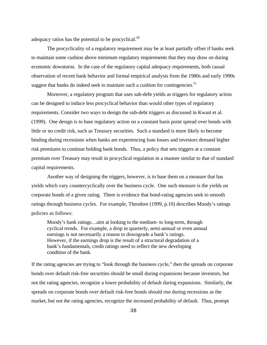adequacy ratios has the potential to be procyclical.<sup>50</sup>

The procyclicality of a regulatory requirement may be at least partially offset if banks seek to maintain some cushion above minimum regulatory requirements that they may draw on during economic downturns. In the case of the regulatory capital adequacy requirements, both casual observation of recent bank behavior and formal empirical analysis from the 1980s and early 1990s suggest that banks do indeed seek to maintain such a cushion for contingencies.<sup>51</sup>

Moreover, a regulatory program that uses sub-debt yields as triggers for regulatory action can be designed to induce less procyclical behavior than would other types of regulatory requirements. Consider two ways to design the sub-debt triggers as discussed in Kwast et al. (1999). One design is to base regulatory action on a constant basis point spread over bonds with little or no credit risk, such as Treasury securities. Such a standard is more likely to become binding during recessions when banks are experiencing loan losses and investors demand higher risk premiums to continue holding bank bonds. Thus, a policy that sets triggers at a constant premium over Treasury may result in procyclical regulation in a manner similar to that of standard capital requirements.

Another way of designing the triggers, however, is to base them on a measure that has yields which vary countercyclically over the business cycle. One such measure is the yields on corporate bonds of a given rating. There is evidence that bond-rating agencies seek to smooth ratings through business cycles. For example, Theodore (1999, p.10) describes Moody's ratings policies as follows:

Moody's bank ratings…aim at looking to the medium- to long-term, through cyclical trends. For example, a drop in quarterly, semi-annual or even annual earnings is not necessarily a reason to downgrade a bank's ratings. However, if the earnings drop is the result of a structural degradation of a bank's fundamentals, credit ratings need to reflect the new developing condition of the bank.

If the rating agencies are trying to "look through the business cycle," then the spreads on corporate bonds over default risk-free securities should be small during expansions because investors, but not the rating agencies, recognize a lower probability of default during expansions. Similarly, the spreads on corporate bonds over default risk-free bonds should rise during recessions as the market, but not the rating agencies, recognize the increased probability of default. Thus, prompt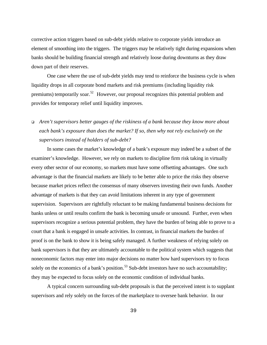corrective action triggers based on sub-debt yields relative to corporate yields introduce an element of smoothing into the triggers. The triggers may be relatively tight during expansions when banks should be building financial strength and relatively loose during downturns as they draw down part of their reserves.

One case where the use of sub-debt yields may tend to reinforce the business cycle is when liquidity drops in all corporate bond markets and risk premiums (including liquidity risk premiums) temporarily soar.<sup>52</sup> However, our proposal recognizes this potential problem and provides for temporary relief until liquidity improves.

# <sup>q</sup> *Aren't supervisors better gauges of the riskiness of a bank because they know more about each bank's exposure than does the market? If so, then why not rely exclusively on the supervisors instead of holders of sub-debt?*

In some cases the market's knowledge of a bank's exposure may indeed be a subset of the examiner's knowledge. However, we rely on markets to discipline firm risk taking in virtually every other sector of our economy, so markets must have some offsetting advantages. One such advantage is that the financial markets are likely to be better able to price the risks they observe because market prices reflect the consensus of many observers investing their own funds. Another advantage of markets is that they can avoid limitations inherent in any type of government supervision. Supervisors are rightfully reluctant to be making fundamental business decisions for banks unless or until results confirm the bank is becoming unsafe or unsound. Further, even when supervisors recognize a serious potential problem, they have the burden of being able to prove to a court that a bank is engaged in unsafe activities. In contrast, in financial markets the burden of proof is on the bank to show it is being safely managed. A further weakness of relying solely on bank supervisors is that they are ultimately accountable to the political system which suggests that noneconomic factors may enter into major decisions no matter how hard supervisors try to focus solely on the economics of a bank's position. $53$  Sub-debt investors have no such accountability; they may be expected to focus solely on the economic condition of individual banks.

A typical concern surrounding sub-debt proposals is that the perceived intent is to supplant supervisors and rely solely on the forces of the marketplace to oversee bank behavior. In our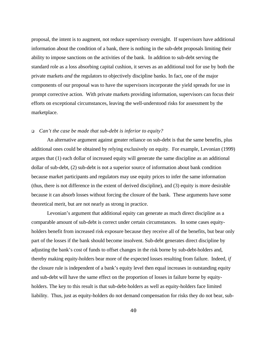proposal, the intent is to augment, not reduce supervisory oversight. If supervisors have additional information about the condition of a bank, there is nothing in the sub-debt proposals limiting their ability to impose sanctions on the activities of the bank. In addition to sub-debt serving the standard role as a loss absorbing capital cushion, it serves as an additional tool for use by both the private markets *and* the regulators to objectively discipline banks. In fact, one of the major components of our proposal was to have the supervisors incorporate the yield spreads for use in prompt corrective action. With private markets providing information, supervisors can focus their efforts on exceptional circumstances, leaving the well-understood risks for assessment by the marketplace.

### <sup>q</sup> *Can't the case be made that sub-debt is inferior to equity?*

An alternative argument against greater reliance on sub-debt is that the same benefits, plus additional ones could be obtained by relying exclusively on equity. For example, Levonian (1999) argues that (1) each dollar of increased equity will generate the same discipline as an additional dollar of sub-debt, (2) sub-debt is not a superior source of information about bank condition because market participants and regulators may use equity prices to infer the same information (thus, there is not difference in the extent of derived discipline), and (3) equity is more desirable because it can absorb losses without forcing the closure of the bank. These arguments have some theoretical merit, but are not nearly as strong in practice.

Levonian's argument that additional equity can generate as much direct discipline as a comparable amount of sub-debt is correct under certain circumstances. In some cases equityholders benefit from increased risk exposure because they receive all of the benefits, but bear only part of the losses if the bank should become insolvent. Sub-debt generates direct discipline by adjusting the bank's cost of funds to offset changes in the risk borne by sub-debt-holders and, thereby making equity-holders bear more of the expected losses resulting from failure. Indeed, *if* the closure rule is independent of a bank's equity level then equal increases in outstanding equity and sub-debt will have the same effect on the proportion of losses in failure borne by equityholders. The key to this result is that sub-debt-holders as well as equity-holders face limited liability. Thus, just as equity-holders do not demand compensation for risks they do not bear, sub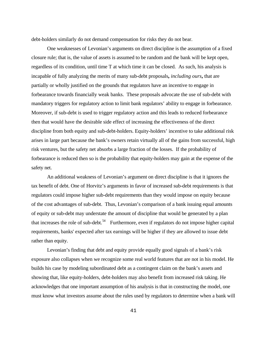debt-holders similarly do not demand compensation for risks they do not bear.

One weaknesses of Levonian's arguments on direct discipline is the assumption of a fixed closure rule; that is, the value of assets is assumed to be random and the bank will be kept open, regardless of its condition, until time T at which time it can be closed. As such, his analysis is incapable of fully analyzing the merits of many sub-debt proposals**,** *including ours***,** that are partially or wholly justified on the grounds that regulators have an incentive to engage in forbearance towards financially weak banks. These proposals advocate the use of sub-debt with mandatory triggers for regulatory action to limit bank regulators' ability to engage in forbearance. Moreover, if sub-debt is used to trigger regulatory action and this leads to reduced forbearance then that would have the desirable side effect of increasing the effectiveness of the direct discipline from both equity and sub-debt-holders. Equity-holders' incentive to take additional risk arises in large part because the bank's owners retain virtually all of the gains from successful, high risk ventures, but the safety net absorbs a large fraction of the losses. If the probability of forbearance is reduced then so is the probability that equity-holders may gain at the expense of the safety net.

An additional weakness of Levonian's argument on direct discipline is that it ignores the tax benefit of debt. One of Horvitz's arguments in favor of increased sub-debt requirements is that regulators could impose higher sub-debt requirements than they would impose on equity because of the cost advantages of sub-debt. Thus, Levonian's comparison of a bank issuing equal amounts of equity or sub-debt may understate the amount of discipline that would be generated by a plan that increases the role of sub-debt.<sup>54</sup> Furthermore, even if regulators do not impose higher capital requirements, banks' expected after tax earnings will be higher if they are allowed to issue debt rather than equity.

Levonian's finding that debt and equity provide equally good signals of a bank's risk exposure also collapses when we recognize some real world features that are not in his model. He builds his case by modeling subordinated debt as a contingent claim on the bank's assets and showing that, like equity-holders, debt-holders may also benefit from increased risk taking. He acknowledges that one important assumption of his analysis is that in constructing the model, one must know what investors assume about the rules used by regulators to determine when a bank will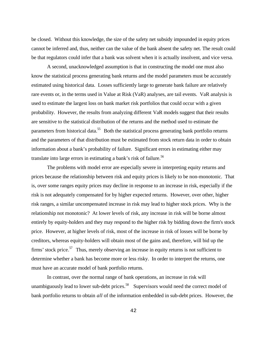be closed. Without this knowledge, the size of the safety net subsidy impounded in equity prices cannot be inferred and, thus, neither can the value of the bank absent the safety net. The result could be that regulators could infer that a bank was solvent when it is actually insolvent, and vice versa.

A second, unacknowledged assumption is that in constructing the model one must also know the statistical process generating bank returns and the model parameters must be accurately estimated using historical data. Losses sufficiently large to generate bank failure are relatively rare events or, in the terms used in Value at Risk (VaR) analyses, are tail events. VaR analysis is used to estimate the largest loss on bank market risk portfolios that could occur with a given probability. However, the results from analyzing different VaR models suggest that their results are sensitive to the statistical distribution of the returns and the method used to estimate the parameters from historical data.<sup>55</sup> Both the statistical process generating bank portfolio returns and the parameters of that distribution must be estimated from stock return data in order to obtain information about a bank's probability of failure. Significant errors in estimating either may translate into large errors in estimating a bank's risk of failure.<sup>56</sup>

The problems with model error are especially severe in interpreting equity returns and prices because the relationship between risk and equity prices is likely to be non-monotonic. That is, over some ranges equity prices may decline in response to an increase in risk, especially if the risk is not adequately compensated for by higher expected returns. However, over other, higher risk ranges, a similar uncompensated increase in risk may lead to higher stock prices. Why is the relationship not monotonic? At lower levels of risk, any increase in risk will be borne almost entirely by equity-holders and they may respond to the higher risk by bidding down the firm's stock price. However, at higher levels of risk, most of the increase in risk of losses will be borne by creditors, whereas equity-holders will obtain most of the gains and, therefore, will bid up the firms' stock price.<sup>57</sup> Thus, merely observing an increase in equity returns is not sufficient to determine whether a bank has become more or less risky. In order to interpret the returns, one must have an accurate model of bank portfolio returns.

In contrast, over the normal range of bank operations, an increase in risk will unambiguously lead to lower sub-debt prices. $58$  Supervisors would need the correct model of bank portfolio returns to obtain *all* of the information embedded in sub-debt prices. However, the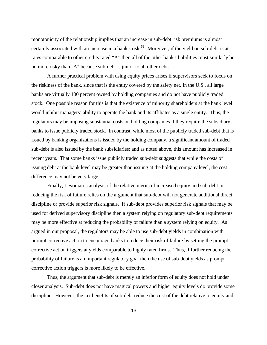monotonicity of the relationship implies that an increase in sub-debt risk premiums is almost certainly associated with an increase in a bank's risk.<sup>59</sup> Moreover, if the yield on sub-debt is at rates comparable to other credits rated "A" then all of the other bank's liabilities must similarly be no more risky than "A" because sub-debt is junior to all other debt.

A further practical problem with using equity prices arises if supervisors seek to focus on the riskiness of the bank, since that is the entity covered by the safety net. In the U.S., all large banks are virtually 100 percent owned by holding companies and do not have publicly traded stock. One possible reason for this is that the existence of minority shareholders at the bank level would inhibit managers' ability to operate the bank and its affiliates as a single entity. Thus, the regulators may be imposing substantial costs on holding companies if they require the subsidiary banks to issue publicly traded stock. In contrast, while most of the publicly traded sub-debt that is issued by banking organizations is issued by the holding company, a significant amount of traded sub-debt is also issued by the bank subsidiaries; and as noted above, this amount has increased in recent years. That some banks issue publicly traded sub-debt suggests that while the costs of issuing debt at the bank level may be greater than issuing at the holding company level, the cost difference may not be very large.

Finally, Levonian's analysis of the relative merits of increased equity and sub-debt in reducing the risk of failure relies on the argument that sub-debt will not generate additional direct discipline or provide superior risk signals. If sub-debt provides superior risk signals that may be used for derived supervisory discipline then a system relying on regulatory sub-debt requirements may be more effective at reducing the probability of failure than a system relying on equity. As argued in our proposal, the regulators may be able to use sub-debt yields in combination with prompt corrective action to encourage banks to reduce their risk of failure by setting the prompt corrective action triggers at yields comparable to highly rated firms. Thus, if further reducing the probability of failure is an important regulatory goal then the use of sub-debt yields as prompt corrective action triggers is more likely to be effective.

Thus, the argument that sub-debt is merely an inferior form of equity does not hold under closer analysis. Sub-debt does not have magical powers and higher equity levels do provide some discipline. However, the tax benefits of sub-debt reduce the cost of the debt relative to equity and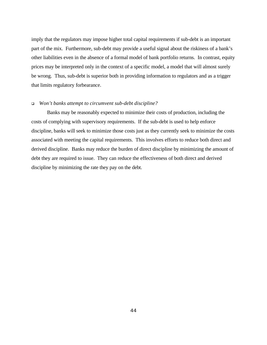imply that the regulators may impose higher total capital requirements if sub-debt is an important part of the mix. Furthermore, sub-debt may provide a useful signal about the riskiness of a bank's other liabilities even in the absence of a formal model of bank portfolio returns. In contrast, equity prices may be interpreted only in the context of a specific model, a model that will almost surely be wrong. Thus, sub-debt is superior both in providing information to regulators and as a trigger that limits regulatory forbearance.

# <sup>q</sup> *Won't banks attempt to circumvent sub-debt discipline?*

Banks may be reasonably expected to minimize their costs of production, including the costs of complying with supervisory requirements. If the sub-debt is used to help enforce discipline, banks will seek to minimize those costs just as they currently seek to minimize the costs associated with meeting the capital requirements. This involves efforts to reduce both direct and derived discipline. Banks may reduce the burden of direct discipline by minimizing the amount of debt they are required to issue. They can reduce the effectiveness of both direct and derived discipline by minimizing the rate they pay on the debt.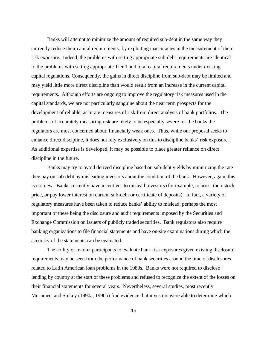Banks will attempt to minimize the amount of required sub-debt in the same way they currently reduce their capital requirements; by exploiting inaccuracies in the measurement of their risk exposure. Indeed, the problems with setting appropriate sub-debt requirements are identical to the problems with setting appropriate Tier 1 and total capital requirements under existing capital regulations. Consequently, the gains in direct discipline from sub-debt may be limited and may yield little more direct discipline than would result from an increase in the current capital requirements. Although efforts are ongoing to improve the regulatory risk measures used in the capital standards, we are not particularly sanguine about the near term prospects for the development of reliable, accurate measures of risk from direct analysis of bank portfolios. The problems of accurately measuring risk are likely to be especially severe for the banks the regulators are most concerned about, financially weak ones. Thus, while our proposal seeks to enhance direct discipline, it does not rely exclusively on this to discipline banks' risk exposure. As additional expertise is developed, it may be possible to place greater reliance on direct discipline in the future.

Banks may try to avoid derived discipline based on sub-debt yields by minimizing the rate they pay on sub-debt by misleading investors about the condition of the bank. However, again, this is not new. Banks currently have incentives to mislead investors (for example, to boost their stock price, or pay lower interest on current sub-debt or certificate of deposits). In fact, a variety of regulatory measures have been taken to reduce banks' ability to mislead; perhaps the most important of these being the disclosure and audit requirements imposed by the Securities and Exchange Commission on issuers of publicly traded securities. Bank regulators also require banking organizations to file financial statements and have on-site examinations during which the accuracy of the statements can be evaluated.

The ability of market participants to evaluate bank risk exposures given existing disclosure requirements may be seen from the performance of bank securities around the time of disclosures related to Latin American loan problems in the 1980s. Banks were not required to disclose lending by country at the start of these problems and refused to recognize the extent of the losses on their financial statements for several years. Nevertheless, several studies, most recently Musumeci and Sinkey (1990a, 1990b) find evidence that investors were able to determine which

45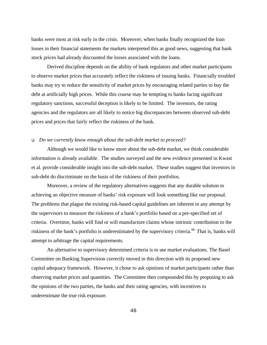banks were most at risk early in the crisis. Moreover, when banks finally recognized the loan losses in their financial statements the markets interpreted this as good news, suggesting that bank stock prices had already discounted the losses associated with the loans.

Derived discipline depends on the ability of bank regulators and other market participants to observe market prices that accurately reflect the riskiness of issuing banks. Financially troubled banks may try to reduce the sensitivity of market prices by encouraging related parties to buy the debt at artificially high prices. While this course may be tempting to banks facing significant regulatory sanctions, successful deception is likely to be limited. The investors, the rating agencies and the regulators are all likely to notice big discrepancies between observed sub-debt prices and prices that fairly reflect the riskiness of the bank.

#### <sup>q</sup> *Do we currently know enough about the sub-debt market to proceed?*

Although we would like to know more about the sub-debt market, we think considerable information is already available. The studies surveyed and the new evidence presented in Kwast et al. provide considerable insight into the sub-debt market. These studies suggest that investors in sub-debt do discriminate on the basis of the riskiness of their portfolios.

Moreover, a review of the regulatory alternatives suggests that any durable solution to achieving an objective measure of banks' risk exposure will look something like our proposal. The problems that plague the existing risk-based capital guidelines are inherent in any attempt by the supervisors to measure the riskiness of a bank's portfolio based on a pre-specified set of criteria. Overtime, banks will find or will manufacture claims whose intrinsic contribution to the riskiness of the bank's portfolio is underestimated by the supervisory criteria. $^{60}$  That is, banks will attempt to arbitrage the capital requirements.

An alternative to supervisory determined criteria is to use market evaluations. The Basel Committee on Banking Supervision correctly moved in this direction with its proposed new capital adequacy framework. However, it chose to ask opinions of market participants rather than observing market prices and quantities. The Committee then compounded this by proposing to ask the opinions of the two parties, the banks and their rating agencies, with incentives to underestimate the true risk exposure.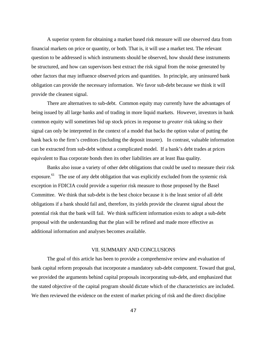A superior system for obtaining a market based risk measure will use observed data from financial markets on price or quantity, or both. That is, it will use a market test. The relevant question to be addressed is which instruments should be observed, how should these instruments be structured, and how can supervisors best extract the risk signal from the noise generated by other factors that may influence observed prices and quantities. In principle, any uninsured bank obligation can provide the necessary information. We favor sub-debt because we think it will provide the cleanest signal.

There are alternatives to sub-debt. Common equity may currently have the advantages of being issued by all large banks and of trading in more liquid markets. However, investors in bank common equity will sometimes bid up stock prices in response to *greater* risk taking so their signal can only be interpreted in the context of a model that backs the option value of putting the bank back to the firm's creditors (including the deposit insurer). In contrast, valuable information can be extracted from sub-debt without a complicated model. If a bank's debt trades at prices equivalent to Baa corporate bonds then its other liabilities are at least Baa quality.

Banks also issue a variety of other debt obligations that could be used to measure their risk exposure.<sup>61</sup> The use of any debt obligation that was explicitly excluded from the systemic risk exception in FDICIA could provide a superior risk measure to those proposed by the Basel Committee. We think that sub-debt is the best choice because it is the least senior of all debt obligations if a bank should fail and, therefore, its yields provide the clearest signal about the potential risk that the bank will fail. We think sufficient information exists to adopt a sub-debt proposal with the understanding that the plan will be refined and made more effective as additional information and analyses becomes available.

# VII. SUMMARY AND CONCLUSIONS

The goal of this article has been to provide a comprehensive review and evaluation of bank capital reform proposals that incorporate a mandatory sub-debt component. Toward that goal, we provided the arguments behind capital proposals incorporating sub-debt, and emphasized that the stated objective of the capital program should dictate which of the characteristics are included. We then reviewed the evidence on the extent of market pricing of risk and the direct discipline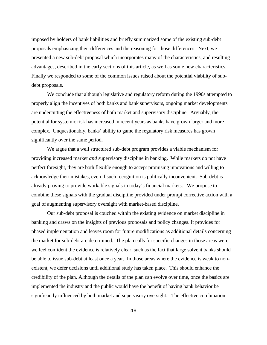imposed by holders of bank liabilities and briefly summarized some of the existing sub-debt proposals emphasizing their differences and the reasoning for those differences. Next, we presented a new sub-debt proposal which incorporates many of the characteristics, and resulting advantages, described in the early sections of this article, as well as some new characteristics. Finally we responded to some of the common issues raised about the potential viability of subdebt proposals.

We conclude that although legislative and regulatory reform during the 1990s attempted to properly align the incentives of both banks and bank supervisors, ongoing market developments are undercutting the effectiveness of both market and supervisory discipline. Arguably, the potential for systemic risk has increased in recent years as banks have grown larger and more complex. Unquestionably, banks' ability to game the regulatory risk measures has grown significantly over the same period.

We argue that a well structured sub-debt program provides a viable mechanism for providing increased market *and* supervisory discipline in banking. While markets do not have perfect foresight, they are both flexible enough to accept promising innovations and willing to acknowledge their mistakes, even if such recognition is politically inconvenient. Sub-debt is already proving to provide workable signals in today's financial markets. We propose to combine these signals with the gradual discipline provided under prompt corrective action with a goal of augmenting supervisory oversight with market-based discipline.

Our sub-debt proposal is couched within the existing evidence on market discipline in banking and draws on the insights of previous proposals and policy changes. It provides for phased implementation and leaves room for future modifications as additional details concerning the market for sub-debt are determined. The plan calls for specific changes in those areas were we feel confident the evidence is relatively clear, such as the fact that large solvent banks should be able to issue sub-debt at least once a year. In those areas where the evidence is weak to nonexistent, we defer decisions until additional study has taken place. This should enhance the credibility of the plan. Although the details of the plan can evolve over time, once the basics are implemented the industry and the public would have the benefit of having bank behavior be significantly influenced by both market and supervisory oversight. The effective combination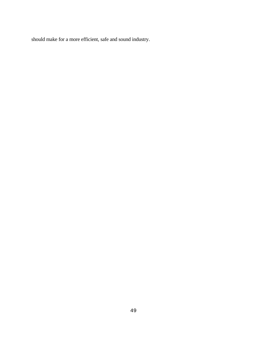should make for a more efficient, safe and sound industry.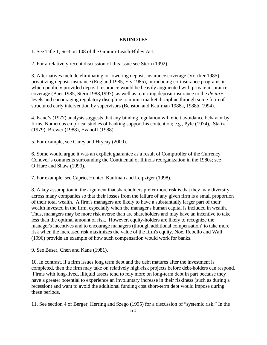# **ENDNOTES**

1. See Title 1, Section 108 of the Gramm-Leach-Bliley Act.

2. For a relatively recent discussion of this issue see Stern (1992).

3. Alternatives include eliminating or lowering deposit insurance coverage (Volcker 1985), privatizing deposit insurance (England 1985, Ely 1985), introducing co-insurance programs in which publicly provided deposit insurance would be heavily augmented with private insurance coverage (Baer 1985, Stern 1988,1997), as well as returning deposit insurance to the *de jure* levels and encouraging regulatory discipline to mimic market discipline through some form of structured early intervention by supervisors (Benston and Kaufman 1988a, 1988b, 1994).

4. Kane's (1977) analysis suggests that any binding regulation will elicit avoidance behavior by firms. Numerous empirical studies of banking support his contention; e.g., Pyle (1974), Startz (1979), Brewer (1988), Evanoff (1988).

5. For example, see Carey and Hrycay (2000).

6. Some would argue it was an explicit guarantee as a result of Comptroller of the Currency Conover's comments surrounding the Continental of Illinois reorganization in the 1980s; see O'Hare and Shaw (1990).

7. For example, see Caprio, Hunter, Kaufman and Leipziger (1998).

8. A key assumption in the argument that shareholders prefer more risk is that they may diversify across many companies so that their losses from the failure of any given firm is a small proportion of their total wealth. A firm's managers are likely to have a substantially larger part of their wealth invested in the firm, especially when the manager's human capital is included in wealth. Thus, managers may be more risk averse than are shareholders and may have an incentive to take less than the optimal amount of risk. However, equity-holders are likely to recognize the manager's incentives and to encourage managers (through additional compensation) to take more risk when the increased risk maximizes the value of the firm's equity. Noe, Rebello and Wall (1996) provide an example of how such compensation would work for banks.

9. See Buser, Chen and Kane (1981).

10. In contrast, if a firm issues long term debt and the debt matures after the investment is completed, then the firm may take on relatively high-risk projects before debt-holders can respond. Firms with long-lived, illiquid assets tend to rely more on long-term debt in part because they have a greater potential to experience an involuntary increase in their riskiness (such as during a recession) and want to avoid the additional funding cost short-term debt would impose during these periods.

11. See section 4 of Berger, Herring and Szego (1995) for a discussion of "systemic risk." In the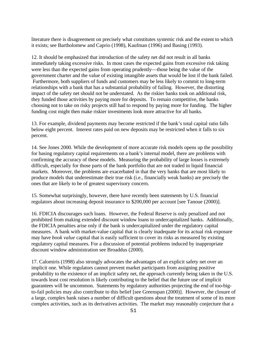literature there is disagreement on precisely what constitutes systemic risk and the extent to which it exists; see Bartholomew and Caprio (1998), Kaufman (1996) and Basing (1993).

12. It should be emphasized that introduction of the safety net did not result in all banks immediately taking excessive risks. In most cases the expected gains from excessive risk taking were less than the expected gains from operating prudently—those being the value of the government charter and the value of existing intangible assets that would be lost if the bank failed. Furthermore, both suppliers of funds and customers may be less likely to commit to long-term relationships with a bank that has a substantial probability of failing. However, the distorting impact of the safety net should not be understated. As the riskier banks took on additional risk, they funded those activities by paying more for deposits. To remain competitive, the banks choosing not to take on risky projects still had to respond by paying more for funding. The higher funding cost might then make riskier investments look more attractive for all banks.

13. For example, dividend payments may become restricted if the bank's total capital ratio falls below eight percent. Interest rates paid on new deposits may be restricted when it falls to six percent.

14. See Jones 2000. While the development of more accurate risk models opens up the possibility for basing regulatory capital requirements on a bank's internal model, there are problems with confirming the accuracy of these models. Measuring the probability of large losses is extremely difficult, especially for those parts of the bank portfolio that are not traded in liquid financial markets. Moreover, the problems are exacerbated in that the very banks that are most likely to produce models that underestimate their true risk (i.e., financially weak banks) are precisely the ones that are likely to be of greatest supervisory concern.

15. Somewhat surprisingly, however, there have recently been statements by U.S. financial regulators about increasing deposit insurance to \$200,000 per account [see Tanoue (2000)].

16. FDICIA discourages such loans. However, the Federal Reserve is only penalized and not prohibited from making extended discount window loans to undercapitalized banks. Additionally, the FDICIA penalties arise only if the bank is undercapitalized under the regulatory capital measures. A bank with market-value capital that is clearly inadequate for its actual risk exposure may have *book value* capital that is easily sufficient to cover its risks as measured by existing regulatory capital measures. For a discussion of potential problems induced by inappropriate discount window administration see Broaddus (2000).

17. Calomiris (1998) also strongly advocates the advantages of an explicit safety net over an implicit one. While regulators cannot prevent market participants from assigning positive probability to the existence of an implicit safety net, the approach currently being taken in the U.S. towards least cost resolution is likely contributing to the belief that the future use of implicit guarantees will be uncommon. Statements by regulatory authorities projecting the end of too-bigto-fail policies may also contribute to this belief [see Greenspan (2000)]. However, the closure of a large, complex bank raises a number of difficult questions about the treatment of some of its more complex activities, such as its derivatives activities. The market may reasonably conjecture that a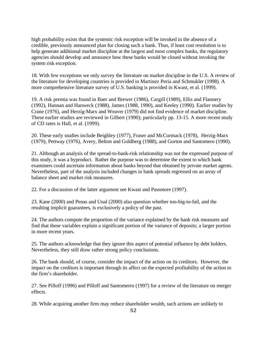high probability exists that the systemic risk exception will be invoked in the absence of a credible, previously announced plan for closing such a bank. Thus, if least cost resolution is to help generate additional market discipline at the largest and most complex banks, the regulatory agencies should develop and announce how these banks would be closed without invoking the system risk exception.

18. With few exceptions we only survey the literature on market discipline in the U.S. A review of the literature for developing countries is provided in Martinez Peria and Schmukler (1998). A more comprehensive literature survey of U.S. banking is provided in Kwast, et al. (1999).

19. A risk premia was found in Baer and Brewer (1986), Cargill (1989), Ellis and Flannery (1992), Hannan and Hanweck (1988), James (1988, 1990), and Keeley (1990). Earlier studies by Crane (1976), and Herzig-Marx and Weaver (1979) did not find evidence of market discipline. These earlier studies are reviewed in Gilbert (1990); particularly pp. 13-15. A more recent study of CD rates is Hall, et al. (1999).

20. These early studies include Beighley (1977), Fraser and McCormack (1978), Herzig-Marx (1979), Pettway (1976), Avery, Belton and Goldberg (1988), and Gorton and Santomero (1990).

21. Although an analysis of the spread-to-bank-risk relationship was not the expressed purpose of this study, it was a byproduct. Rather the purpose was to determine the extent to which bank examiners could ascertain information about banks beyond that obtained by private market agents. Nevertheless, part of the analysis included changes in bank spreads regressed on an array of balance sheet and market risk measures.

22. For a discussion of the latter argument see Kwast and Passmore (1997).

23. Kane (2000) and Penas and Unal (2000) also question whether too-big-to-fail, and the resulting implicit guarantees, is exclusively a policy of the past.

24. The authors compute the proportion of the variance explained by the bank risk measures and find that these variables explain a significant portion of the variance of deposits; a larger portion in more recent years.

25. The authors acknowledge that they ignore this aspect of potential influence by debt holders. Nevertheless, they still draw rather strong policy conclusions.

26. The bank should, of course, consider the impact of the action on its creditors. However, the impact on the creditors is important through its affect on the expected profitability of the action to the firm's shareholder.

27. See Pilloff (1996) and Pilloff and Santomerro (1997) for a review of the literature on merger effects.

28. While acquiring another firm may reduce shareholder wealth, such actions are unlikely to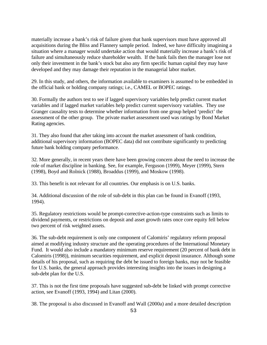materially increase a bank's risk of failure given that bank supervisors must have approved all acquisitions during the Bliss and Flannery sample period. Indeed, we have difficulty imagining a situation where a manager would undertake action that would materially increase a bank's risk of failure and simultaneously reduce shareholder wealth. If the bank fails then the manager lose not only their investment in the bank's stock but also any firm specific human capital they may have developed and they may damage their reputation in the managerial labor market.

29. In this study, and others, the information available to examiners is assumed to be embedded in the official bank or holding company ratings; i.e., CAMEL or BOPEC ratings.

30. Formally the authors test to see if lagged supervisory variables help predict current market variables and if lagged market variables help predict current supervisory variables. They use Granger causality tests to determine whether information from one group helped 'predict' the assessment of the other group. The private market assessment used was ratings by Bond Market Rating agencies.

31. They also found that after taking into account the market assessment of bank condition, additional supervisory information (BOPEC data) did not contribute significantly to predicting future bank holding company performance.

32. More generally, in recent years there have been growing concern about the need to increase the role of market discipline in banking. See, for example, Ferguson (1999), Meyer (1999), Stern (1998), Boyd and Rolnick (1988), Broaddus (1999), and Moskow (1998).

33. This benefit is not relevant for all countries. Our emphasis is on U.S. banks.

34. Additional discussion of the role of sub-debt in this plan can be found in Evanoff (1993, 1994).

35. Regulatory restrictions would be prompt-corrective-action-type constraints such as limits to dividend payments, or restrictions on deposit and asset growth rates once core equity fell below two percent of risk weighted assets.

36. The sub-debt requirement is only one component of Calomiris' regulatory reform proposal aimed at modifying industry structure and the operating procedures of the International Monetary Fund. It would also include a mandatory minimum reserve requirement (20 percent of bank debt in Calomiris (1998)), minimum securities requirement, and explicit deposit insurance. Although some details of his proposal, such as requiring the debt be issued to foreign banks, may not be feasible for U.S. banks, the general approach provides interesting insights into the issues in designing a sub-debt plan for the U.S.

37. This is not the first time proposals have suggested sub-debt be linked with prompt corrective action, see Evanoff (1993, 1994) and Litan (2000).

38. The proposal is also discussed in Evanoff and Wall (2000a) and a more detailed description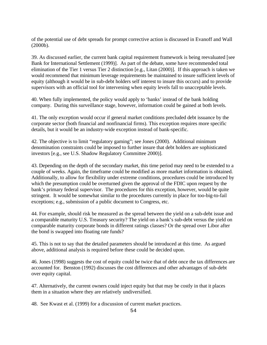of the potential use of debt spreads for prompt corrective action is discussed in Evanoff and Wall (2000b).

39. As discussed earlier, the current bank capital requirement framework is being reevaluated [see Bank for International Settlement (1999)]. As part of the debate, some have recommended total elimination of the Tier 1 versus Tier 2 distinction [e.g., Litan (2000)]. If this approach is taken we would recommend that minimum leverage requirements be maintained to insure sufficient levels of equity (although it would be in sub-debt holders self interest to insure this occurs) and to provide supervisors with an official tool for intervening when equity levels fall to unacceptable levels.

40. When fully implemented, the policy would apply to 'banks' instead of the bank holding company. During this surveillance stage, however, information could be gained at both levels.

41. The only exception would occur if general market conditions precluded debt issuance by the corporate sector (both financial and nonfinancial firms). This exception requires more specific details, but it would be an industry-wide exception instead of bank-specific.

42. The objective is to limit "regulatory gaming"; see Jones (2000). Additional minimum denomination constraints could be imposed to further insure that debt holders are sophisticated investors [e.g., see U.S. Shadow Regulatory Committee 2000)].

43. Depending on the depth of the secondary market, this time period may need to be extended to a couple of weeks. Again, the timeframe could be modified as more market information is obtained. Additionally, to allow for flexibility under extreme conditions, procedures could be introduced by which the presumption could be overturned given the approval of the FDIC upon request by the bank's primary federal supervisor. The procedures for this exception, however, would be quite stringent. It would be somewhat similar to the procedures currently in place for too-big-to-fail exceptions; e.g., submission of a public document to Congress, etc.

44. For example, should risk be measured as the spread between the yield on a sub-debt issue and a comparable maturity U.S. Treasury security? The yield on a bank's sub-debt versus the yield on comparable maturity corporate bonds in different ratings classes? Or the spread over Libor after the bond is swapped into floating rate funds?

45. This is not to say that the detailed parameters should be introduced at this time. As argued above, additional analysis is required before these could be decided upon.

46. Jones (1998) suggests the cost of equity could be twice that of debt once the tax differences are accounted for. Benston (1992) discusses the cost differences and other advantages of sub-debt over equity capital.

47. Alternatively, the current owners could inject equity but that may be costly in that it places them in a situation where they are relatively undiversified.

48. See Kwast et al. (1999) for a discussion of current market practices.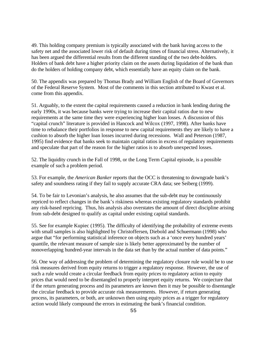49. This holding company premium is typically associated with the bank having access to the safety net and the associated lower risk of default during times of financial stress. Alternatively, it has been argued the differential results from the different standing of the two debt-holders. Holders of bank debt have a higher priority claim on the assets during liquidation of the bank than do the holders of holding company debt, which essentially have an equity claim on the bank.

50. The appendix was prepared by Thomas Brady and William English of the Board of Governors of the Federal Reserve System. Most of the comments in this section attributed to Kwast et al. come from this appendix.

51. Arguably, to the extent the capital requirements caused a reduction in bank lending during the early 1990s, it was because banks were trying to increase their capital ratios due to new requirements at the same time they were experiencing higher loan losses. A discussion of this "capital crunch" literature is provided in Hancock and Wilcox (1997, 1998). After banks have time to rebalance their portfolios in response to new capital requirements they are likely to have a cushion to absorb the higher loan losses incurred during recessions. Wall and Peterson (1987, 1995) find evidence that banks seek to maintain capital ratios in excess of regulatory requirements and speculate that part of the reason for the higher ratios is to absorb unexpected losses.

52. The liquidity crunch in the Fall of 1998, or the Long Term Capital episode, is a possible example of such a problem period.

53. For example, the *American Banker* reports that the OCC is threatening to downgrade bank's safety and soundness rating if they fail to supply accurate CRA data; see Seiberg (1999).

54. To be fair to Levonian's analysis, he also assumes that the sub-debt may be continuously repriced to reflect changes in the bank's riskiness whereas existing regulatory standards prohibit any risk-based repricing. Thus, his analysis also overstates the amount of direct discipline arising from sub-debt designed to qualify as capital under existing capital standards.

55. See for example Kupiec (1995). The difficulty of identifying the probability of extreme events with small samples is also highlighted by Christoffersen, Diebold and Schuermann (1998) who argue that "for performing statistical inference on objects such as a 'once every hundred years' quantile, the relevant measure of sample size is likely better approximated by the number of nonoverlapping hundred-year intervals in the data set than by the actual number of data points."

56. One way of addressing the problem of determining the regulatory closure rule would be to use risk measures derived from equity returns to trigger a regulatory response. However, the use of such a rule would create a circular feedback from equity prices to regulatory action to equity prices that would need to be disentangled to properly interpret equity returns. We conjecture that if the return generating process and its parameters are known then it may be possible to disentangle the circular feedback to provide accurate risk measurements. However, if return generating process, its parameters, or both, are unknown then using equity prices as a trigger for regulatory action would likely compound the errors in estimating the bank's financial condition.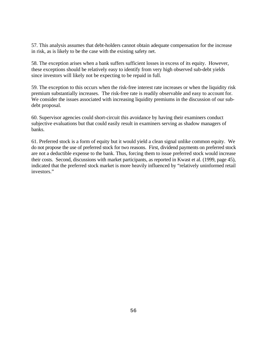57. This analysis assumes that debt-holders cannot obtain adequate compensation for the increase in risk, as is likely to be the case with the existing safety net.

58. The exception arises when a bank suffers sufficient losses in excess of its equity. However, these exceptions should be relatively easy to identify from very high observed sub-debt yields since investors will likely not be expecting to be repaid in full.

59. The exception to this occurs when the risk-free interest rate increases or when the liquidity risk premium substantially increases. The risk-free rate is readily observable and easy to account for. We consider the issues associated with increasing liquidity premiums in the discussion of our subdebt proposal.

60. Supervisor agencies could short-circuit this avoidance by having their examiners conduct subjective evaluations but that could easily result in examiners serving as shadow managers of banks.

61. Preferred stock is a form of equity but it would yield a clean signal unlike common equity. We do not propose the use of preferred stock for two reasons. First, dividend payments on preferred stock are not a deductible expense to the bank. Thus, forcing them to issue preferred stock would increase their costs. Second, discussions with market participants, as reported in Kwast et al. (1999, page 45), indicated that the preferred stock market is more heavily influenced by "relatively uninformed retail investors."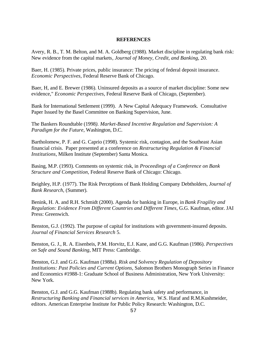# **REFERENCES**

Avery, R. B., T. M. Belton, and M. A. Goldberg (1988). Market discipline in regulating bank risk: New evidence from the capital markets*, Journal of Money, Credit, and Banking*, 20.

Baer, H. (1985). Private prices, public insurance: The pricing of federal deposit insurance. *Economic Perspectives,* Federal Reserve Bank of Chicago.

Baer, H, and E. Brewer (1986). Uninsured deposits as a source of market discipline: Some new evidence," *Economic Perspectives*, Federal Reserve Bank of Chicago, (September)*.*

Bank for International Settlement (1999). A New Capital Adequacy Framework. Consultative Paper Issued by the Basel Committee on Banking Supervision, June.

The Bankers Roundtable (1998*). Market-Based Incentive Regulation and Supervision: A Paradigm for the Future*, Washington, D.C.

Bartholomew, P. F. and G. Caprio (1998). Systemic risk, contagion, and the Southeast Asian financial crisis. Paper presented at a conference on *Restructuring Regulation & Financial Institutions*, Milken Institute (September) Santa Monica.

Basing, M.P. (1993). Comments on systemic risk, in *Proceedings of a Conference on Bank Structure and Competition,* Federal Reserve Bank of Chicago: Chicago.

Beighley, H.P. (1977). The Risk Perceptions of Bank Holding Company Debtholders, *Journal of Bank Research*, (Summer).

Benink, H. A. and R.H. Schmidt (2000). Agenda for banking in Europe, in *Bank Fragility and Regulation: Evidence From Different Countries and Different Times,* G.G. Kaufman, editor. JAI Press: Greenwich.

Benston, G.J. (1992). The purpose of capital for institutions with government-insured deposits. *Journal of Financial Services Research* 5.

Benston, G. J., R. A. Eisenbeis, P.M. Horvitz, E.J. Kane, and G.G. Kaufman (1986). *Perspectives on Safe and Sound Banking*, MIT Press: Cambridge.

Benston, G.J. and G.G. Kaufman (1988a). *Risk and Solvency Regulation of Depository Institutions: Past Policies and Current Options,* Salomon Brothers Monograph Series in Finance and Economics #1988-1: Graduate School of Business Administration, New York University: New York.

Benston, G.J. and G.G. Kaufman (1988b). Regulating bank safety and performance, in *Restructuring Banking and Financial services in America,* W.S. Haraf and R.M.Kushmeider, editors. American Enterprise Institute for Public Policy Research: Washington, D.C.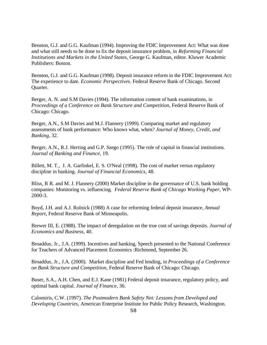Benston, G.J. and G.G. Kaufman (1994). Improving the FDIC Improvement Act: What was done and what still needs to be done to fix the deposit insurance problem, in *Reforming Financial Institutions and Markets in the United States,* George G. Kaufman, editor. Kluwer Academic Publishers: Boston.

Benston, G.J. and G.G. Kaufman (1998). Deposit insurance reform in the FDIC Improvement Act: The experience to date. *Economic Perspectives*. Federal Reserve Bank of Chicago. Second Quarter.

Berger, A. N. and S.M Davies (1994). The information content of bank examinations, in *Proceedings of a Conference on Bank Structure and Competition*, Federal Reserve Bank of Chicago: Chicago.

Berger, A.N., S.M Davies and M.J. Flannery (1999). Comparing market and regulatory assessments of bank performance: Who knows what, when*? Journal of Money, Credit, and Banking*, 32.

Berger, A.N., R.J. Herring and G.P. Szego (1995). The role of capital in financial institutions. *Journal of Banking and Finance,* 19.

Billett, M. T., J. A. Garfinkel, E. S. O'Neal (1998). The cost of market versus regulatory discipline in banking. *Journal of Financial Economics,* 48.

Bliss, R R. and M. J. Flannery (2000) Market discipline in the governance of U.S. bank holding companies: Monitoring vs. influencing*. Federal Reserve Bank of Chicago Working Paper,* WP-2000-3.

Boyd, J.H. and A.J. Rolnick (1988) A case for reforming federal deposit insurance, *Annual Report*, Federal Reserve Bank of Minneapolis.

Brewer III, E. (1988). The impact of deregulation on the true cost of savings deposits. *Journal of Economics and Business*, 40.

Broaddus, Jr., J.A. (1999). Incentives and banking, Speech presented to the National Conference for Teachers of Advanced Placement Economics :Richmond, September 26.

Broaddus, Jr., J.A. (2000). Market discipline and Fed lending, in *Proceedings of a Conference on Bank Structure and Competition,* Federal Reserve Bank of Chicago: Chicago.

Buser, S.A., A.H. Chen, and E.J. Kane (1981) Federal deposit insurance, regulatory policy, and optimal bank capital. *Journal of Finance*, 36.

Calomiris, C.W. (1997). *The Postmodern Bank Safety Net: Lessons from Developed and Developing Countries,* American Enterprise Institute for Public Policy Research, Washington.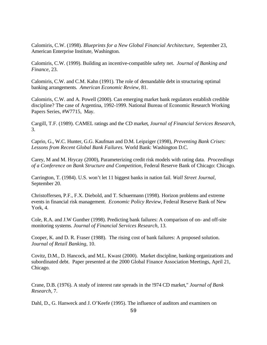Calomiris, C.W. (1998). *Blueprints for a New Global Financial Architecture,* September 23, American Enterprise Institute, Washington.

Calomiris, C.W. (1999). Building an incentive-compatible safety net. *Journal of Banking and Finance,* 23.

Calomiris, C.W. and C.M. Kahn (1991). The role of demandable debt in structuring optimal banking arrangements. *American Economic Review*, 81.

Calomiris, C.W. and A. Powell (2000). Can emerging market bank regulators establish credible discipline? The case of Argentina, 1992-1999. National Bureau of Economic Research Working Papers Series, #W7715, May.

Cargill, T.F. (1989). CAMEL ratings and the CD market*, Journal of Financial Services Research*, 3.

Caprio, G., W.C. Hunter, G.G. Kaufman and D.M. Leipziger (1998), *Preventing Bank Crises: Lessons from Recent Global Bank Failures.* World Bank: Washington D.C.

Carey, M and M. Hrycay (2000), Parameterizing credit risk models with rating data. *Proceedings of a Conference on Bank Structure and Competition,* Federal Reserve Bank of Chicago: Chicago.

Carrington, T. (1984). U.S. won't let 11 biggest banks in nation fail. *Wall Street Journal*, September 20.

Christoffersen, P.F., F.X. Diebold, and T. Schuermann (1998). Horizon problems and extreme events in financial risk management. *Economic Policy Review*, Federal Reserve Bank of New York, 4.

Cole, R.A. and J.W Gunther (1998). Predicting bank failures: A comparison of on- and off-site monitoring systems. *Journal of Financial Services Research*, 13.

Cooper, K. and D. R. Fraser (1988). The rising cost of bank failures: A proposed solution. *Journal of Retail Banking*, 10.

Covitz, D.M., D. Hancock, and M.L. Kwast (2000). Market discipline, banking organizations and subordinated debt. Paper presented at the 2000 Global Finance Association Meetings, April 21, Chicago.

Crane, D.B. (1976). A study of interest rate spreads in the !974 CD market," *Journal of Bank Research,* 7.

Dahl, D., G. Hanweck and J. O'Keefe (1995). The influence of auditors and examiners on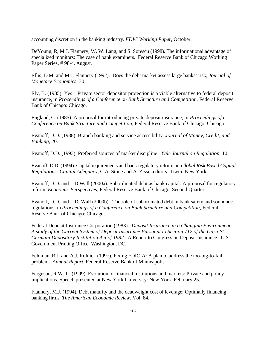accounting discretion in the banking industry. *FDIC Working Paper*, October.

DeYoung, R, M.J. Flannery, W. W. Lang, and S. Sorescu (1998). The informational advantage of specialized monitors: The case of bank examiners. Federal Reserve Bank of Chicago Working Paper Series, # 98-4, August.

Ellis, D.M. and M.J. Flannery (1992). Does the debt market assess large banks' risk, *Journal of Monetary Economics*, 30.

Ely, B. (1985). Yes—Private sector depositor protection is a viable alternative to federal deposit insurance, in *Proceedings of a Conference on Bank Structure and Competition,* Federal Reserve Bank of Chicago: Chicago.

England, C. (1985). A proposal for introducing private deposit insurance, in *Proceedings of a Conference on Bank Structure and Competition,* Federal Reserve Bank of Chicago: Chicago*.*

Evanoff, D.D. (1988). Branch banking and service accessibility*. Journal of Money, Credit, and Banking*, 20.

Evanoff, D.D. (1993). Preferred sources of market discipline*. Yale Journal on Regulation,* 10.

Evanoff, D.D. (1994). Capital requirements and bank regulatory reform, in *Global Risk Based Capital Regulations: Capital Adequacy,* C.A. Stone and A. Zissu, editors. Irwin: New York.

Evanoff, D.D. and L.D.Wall (2000a). Subordinated debt as bank capital: A proposal for regulatory reform. *Economic Perspectives*, Federal Reserve Bank of Chicago, Second Quarter.

Evanoff, D.D. and L.D. Wall (2000b). The role of subordinated debt in bank safety and soundness regulations, in *Proceedings of a Conference on Bank Structure and Competition,* Federal Reserve Bank of Chicago: Chicago*.*

Federal Deposit Insurance Corporation (1983). *Deposit Insurance in a Changing Environment: A study of the Current System of Deposit Insurance Pursuant to Section 712 of the Garn-St. Germain Depository Institution Act of 1982*. A Report to Congress on Deposit Insurance. U.S. Government Printing Office: Washington, DC.

Feldman, R.J. and A.J. Rolnick (1997). Fixing FDICIA: A plan to address the too-big-to-fail problem. *Annual Report*, Federal Reserve Bank of Minneapolis.

Ferguson, R.W. Jr. (1999). Evolution of financial institutions and markets: Private and policy implications. Speech presented at New York University: New York, February 25.

Flannery, M.J. (1994). Debt maturity and the deadweight cost of leverage: Optimally financing banking firms. *The American Economic Review*, Vol. 84.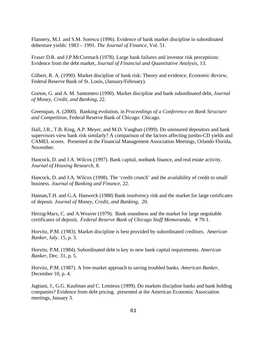Flannery, M.J. and S.M. Sorescu (1996). Evidence of bank market discipline in subordinated debenture yields: 1983 – 1991. *The Journal of Finance*, Vol. 51.

Fraser D.R. and J.P.McCormack (1978). Large bank failures and investor risk perceptions: Evidence from the debt market, *Journal of Financial and Quantitative Analysis*, 13.

Gilbert, R. A. (1990). Market discipline of bank risk: Theory and evidence, *Economic Review*, Federal Reserve Bank of St. Louis, (January/February).

Gorton, G. and A. M. Santomero (1990). Market discipline and bank subordinated debt, *Journal of Money, Credit, and Banking,* 22.

Greenspan, A. (2000). Banking evolution, in *Proceedings of a Conference on Bank Structure and Competition,* Federal Reserve Bank of Chicago: Chicago.

Hall, J.R., T.B. King, A.P. Meyer, and M.D. Vaughan (1999). Do uninsured depositors and bank supervisors view bank risk similarly? A comparison of the factors affecting jumbo-CD yields and CAMEL scores. Presented at the Financial Management Association Meetings, Orlando Florida, November.

Hancock, D. and J.A. Wilcox (1997). Bank capital, nonbank finance, and real estate activity. *Journal of Housing Research*, 8.

Hancock, D. and J.A. Wilcox (1998). The 'credit crunch' and the availability of credit to small business. *Journal of Banking and Finance*, 22.

Hannan,T.H. and G.A. Hanweck (1988) Bank insolvency risk and the market for large certificates of deposit. *Journal of Money, Credit, and Banking*, 20.

Herzig-Marx, C. and A.Weaver (1979). Bank soundness and the market for large negotiable certificates of deposit, *Federal Reserve Bank of Chicago Staff Memoranda*, # 79-1.

Horvitz, P.M. (1983). Market discipline is best provided by subordinated creditors. *American Banker*, July. 15, p. 3.

Horvitz, P.M. (1984). Subordinated debt is key to new bank capital requirements. *American Banker*, Dec. 31, p. 5.

Horvitz, P.M. (1987). A free-market approach to saving troubled banks. *American Banker*, December 10, p. 4.

Jagtiani, J., G.G. Kaufman and C. Lemieux (1999). Do markets discipline banks and bank holding companies? Evidence from debt pricing. presented at the American Economic Association meetings, January 3.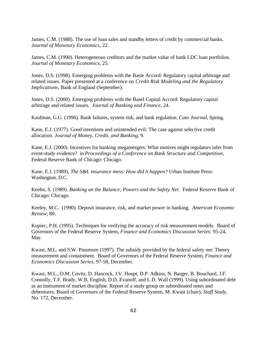James, C.M. (1988). The use of loan sales and standby letters of credit by commercial banks. *Journal of Monetary Economics*, 22.

James, C.M. (1990). Heterogeneous creditors and the market value of bank LDC loan portfolios. *Journal of Monetary Economics*, 25.

Jones, D.S. (1998). Emerging problems with the Basle Accord: Regulatory capital arbitrage and related issues. Paper presented at a conference on *Credit Risk Modeling and the Regulatory Implications*, Bank of England (September).

Jones, D.S. (2000). Emerging problems with the Basel Capital Accord: Regulatory capital arbitrage and related issues. *Journal of Banking and Finance*, 24.

Kaufman, G.G. (1996). Bank failures, system risk, and bank regulation. *Cato Journal*, Spring.

Kane, E.J. (1977). Good intentions and unintended evil: The case against selective credit allocation. *Journal of Money, Credit, and Banking,* 9.

Kane, E.J. (2000). Incentives for banking megamergers: What motives might regulators infer from event-study evidence? in *Proceedings of a Conference on Bank Structure and Competition,* Federal Reserve Bank of Chicago: Chicago*.*

Kane, E.J. (1989), *The S&L insurance mess: How did it happen?* Urban Institute Press: Washington, D.C.

Keehn, S. (1989). *Banking on the Balance; Powers and the Safety Net.* Federal Reserve Bank of Chicago: Chicago.

Keeley, M.C. (1990). Deposit insurance, risk, and market power in banking*. American Economic Review*; 80.

Kupiec, P.H. (1995). Techniques for verifying the accuracy of risk measurement models. Board of Governors of the Federal Reserve System, *Finance and Economics Discussion Series*: 95-24, May.

Kwast, M.L. and S.W. Passmore (1997). The subsidy provided by the federal safety net: Theory measurement and containment. Board of Governors of the Federal Reserve System, *Finance and Economics Discussion Series,* 97-58, December.

Kwast, M.L., D.M. Covitz, D. Hancock, J.V. Houpt, D.P. Adkins, N. Barger, B. Bouchard, J.F. Connolly, T.F. Brady, W.B. English, D.D. Evanoff, and L.D. Wall (1999). Using subordinated debt as an instrument of market discipline. Report of a study group on subordinated notes and debentures, Board of Governors of the Federal Reserve System, M. Kwast (chair), *Staff Study*, No. 172, December.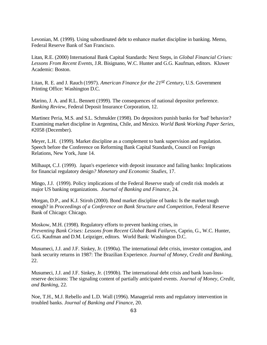Levonian, M. (1999). Using subordinated debt to enhance market discipline in banking. Memo, Federal Reserve Bank of San Francisco.

Litan, R.E. (2000) International Bank Capital Standards: Next Steps, in *Global Financial Crises: Lessons From Recent Events,* J.R. Bisignano, W.C. Hunter and G.G. Kaufman, editors. Kluwer Academic: Boston.

Litan, R. E. and J. Rauch (1997). *American Finance for the 21st Century*, U.S. Government Printing Office: Washington D.C.

Marino, J. A. and R.L. Bennett (1999). The consequences of national depositor preference. *Banking Review*, Federal Deposit Insurance Corporation, 12.

Martinez Peria, M.S. and S.L. Schmukler (1998). Do depositors punish banks for 'bad' behavior? Examining market discipline in Argentina, Chile, and Mexico. *World Bank Working Paper Series*, #2058 (December).

Meyer, L.H. (1999). Market discipline as a complement to bank supervision and regulation. Speech before the Conference on Reforming Bank Capital Standards, Council on Foreign Relations, New York, June 14.

Milhaupt, C.J. (1999). Japan's experience with deposit insurance and failing banks: Implications for financial regulatory design*? Monetary and Economic Studies*, 17.

Mingo, J.J. (1999). Policy implications of the Federal Reserve study of credit risk models at major US banking organizations. *Journal of Banking and Finance*, 24.

Morgan, D.P., and K.J. Stiroh (2000). Bond market discipline of banks: Is the market tough enough? in *Proceedings of a Conference on Bank Structure and Competition,* Federal Reserve Bank of Chicago: Chicago.

Moskow, M.H. (1998). Regulatory efforts to prevent banking crises, in *Preventing Bank Crises: Lessons from Recent Global Bank Failures,* Caprio, G., W.C. Hunter, G.G. Kaufman and D.M. Leipziger, editors. World Bank: Washington D.C.

Musumeci, J.J. and J.F. Sinkey, Jr. (1990a). The international debt crisis, investor contagion, and bank security returns in 1987: The Brazilian Experience*. Journal of Money, Credit and Banking,* 22.

Musumeci, J.J. and J.F. Sinkey, Jr. (1990b). The international debt crisis and bank loan-lossreserve decisions: The signaling content of partially anticipated events*. Journal of Money, Credit, and Banking*, 22.

Noe, T.H., M.J. Rebello and L.D. Wall (1996). Managerial rents and regulatory intervention in troubled banks. *Journal of Banking and Finance,* 20.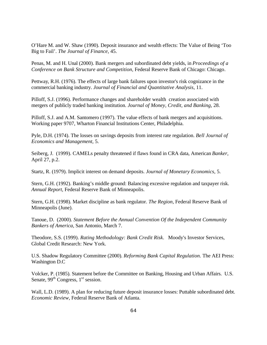O'Hare M. and W. Shaw (1990). Deposit insurance and wealth effects: The Value of Being 'Too Big to Fail'. *The Journal of Finance*, 45.

Penas, M. and H. Unal (2000). Bank mergers and subordinated debt yields, in *Proceedings of a Conference on Bank Structure and Competition,* Federal Reserve Bank of Chicago: Chicago*.*

Pettway, R.H. (1976). The effects of large bank failures upon investor's risk cognizance in the commercial banking industry. *Journal of Financial and Quantitative Analysis*, 11.

Pilloff, S.J. (1996). Performance changes and shareholder wealth creation associated with mergers of publicly traded banking institution. *Journal of Money, Credit, and Banking*, 28.

Pilloff, S.J. and A.M. Santomero (1997). The value effects of bank mergers and acquisitions. Working paper 9707, Wharton Financial Institutions Center, Philadelphia.

Pyle, D.H. (1974). The losses on savings deposits from interest rate regulation. *Bell Journal of Economics and Management*, 5.

Seiberg, J. (1999). CAMELs penalty threatened if flaws found in CRA data, American *Banker,* April 27, p.2.

Startz, R. (1979). Implicit interest on demand deposits. *Journal of Monetary Economics*, 5.

Stern, G.H. (1992). Banking's middle ground: Balancing excessive regulation and taxpayer risk. *Annual Report*, Federal Reserve Bank of Minneapolis.

Stern, G.H. (1998). Market discipline as bank regulator. *The Region*, Federal Reserve Bank of Minneapolis (June).

Tanoue, D. (2000). *Statement Before the Annual Convention Of the Independent Community Bankers of America*, San Antonio, March 7.

Theodore, S.S. (1999). *Rating Methodology: Bank Credit Risk*. Moody's Investor Services, Global Credit Research: New York.

U.S. Shadow Regulatory Committee (2000). *Reforming Bank Capital Regulation.* The AEI Press: Washington D.C

Volcker, P. (1985). Statement before the Committee on Banking, Housing and Urban Affairs. U.S. Senate,  $99<sup>th</sup> Congress, 1<sup>st</sup> session.$ 

Wall, L.D. (1989). A plan for reducing future deposit insurance losses: Puttable subordinated debt. *Economic Review,* Federal Reserve Bank of Atlanta.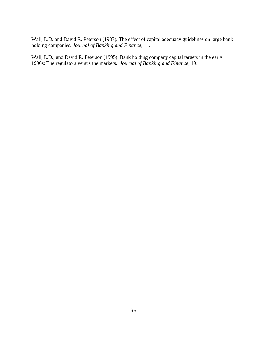Wall, L.D. and David R. Peterson (1987). The effect of capital adequacy guidelines on large bank holding companies. *Journal of Banking and Finance*, 11.

Wall, L.D., and David R. Peterson (1995). Bank holding company capital targets in the early 1990s: The regulators versus the markets. *Journal of Banking and Finance*, 19.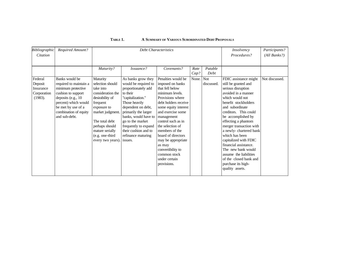| Bibliographic | Required Amount?       |                   | <b>Debt Characteristics</b> | Insolvency           | Participants? |            |                         |                |
|---------------|------------------------|-------------------|-----------------------------|----------------------|---------------|------------|-------------------------|----------------|
| Citation      |                        |                   |                             | Procedures?          | (All Banks?)  |            |                         |                |
|               |                        |                   |                             |                      |               |            |                         |                |
|               |                        | Maturity?         | Issuance?                   | Covenants?           | Rate          | Putable    |                         |                |
|               |                        |                   |                             |                      | Cap?          | Debt       |                         |                |
| Federal       | Banks would be         | Maturity          | As banks grow they          | Penalties would be   | None. Not     |            | FDIC assistance might   | Not discussed. |
| Deposit       | required to maintain a | selection should  | would be required to        | imposed on banks     |               | discussed. | still be granted and    |                |
| Insurance     | minimum protective     | take into         | proportionately add         | that fell below      |               |            | serious disruption      |                |
| Corporation   | cushion to support     | consideration the | to their                    | minimum levels.      |               |            | avoided in a manner     |                |
| (1983).       | deposits (e.g., 10)    | desirability of   | "capitalization."           | Provisions where     |               |            | which would not         |                |
|               | percent) which would   | frequent          | Those heavily               | debt holders receive |               |            | benefit stockholders    |                |
|               | be met by use of a     | exposure to       | dependent on debt,          | some equity interest |               |            | and subordinate         |                |
|               | combination of equity  | market judgment.  | primarily the larger        | and exercise some    |               |            | creditors. This could   |                |
|               | and sub-debt.          |                   | banks, would have to        | management           |               |            | be accomplished by      |                |
|               |                        | The total debt    | go to the market            | control such as in   |               |            | effecting a phantom     |                |
|               |                        | perhaps should    | frequently to expand        | the selection of     |               |            | merger transaction with |                |
|               |                        | mature serially   | their cushion and to        | members of the       |               |            | a newly-chartered bank  |                |
|               |                        | (e.g. one-third   | refinance maturing          | board of directors   |               |            | which has been          |                |
|               |                        | every two years). | issues.                     | may be appropriate   |               |            | capitalized with FDIC   |                |
|               |                        |                   |                             | as may               |               |            | financial assistance.   |                |
|               |                        |                   |                             | convertibility to    |               |            | The new bank would      |                |
|               |                        |                   |                             | common stock         |               |            | assume the liabilities  |                |
|               |                        |                   |                             | under certain        |               |            | of the closed bank and  |                |
|               |                        |                   |                             | provisions.          |               |            | purchase its high-      |                |
|               |                        |                   |                             |                      |               |            | quality assets.         |                |
|               |                        |                   |                             |                      |               |            |                         |                |

# **TABLE 1. A SUMMARY OF VARIOUS SUBORDINATED DEBT PROPOSALS**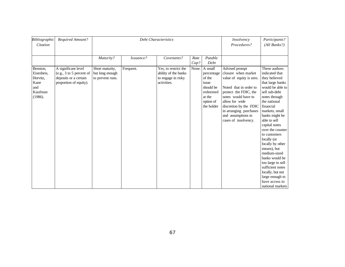| Bibliographic<br>Citation                                               | Required Amount?                                                                                   |                                                        | <b>Debt Characteristics</b> | Insolvency<br>Procedures?                                                         | Participants?<br>(All Banks?) |                                                                                                        |                                                                                                                                                                                                                                                                 |                                                                                                                                                                                                                                                                                                                                                                                                                                                                            |
|-------------------------------------------------------------------------|----------------------------------------------------------------------------------------------------|--------------------------------------------------------|-----------------------------|-----------------------------------------------------------------------------------|-------------------------------|--------------------------------------------------------------------------------------------------------|-----------------------------------------------------------------------------------------------------------------------------------------------------------------------------------------------------------------------------------------------------------------|----------------------------------------------------------------------------------------------------------------------------------------------------------------------------------------------------------------------------------------------------------------------------------------------------------------------------------------------------------------------------------------------------------------------------------------------------------------------------|
|                                                                         |                                                                                                    | Maturity?                                              | Issuance?                   | Covenants?                                                                        | Rate<br>Cap?                  | Putable<br>Debt                                                                                        |                                                                                                                                                                                                                                                                 |                                                                                                                                                                                                                                                                                                                                                                                                                                                                            |
| Benston,<br>Eisenbeis,<br>Horvitz,<br>Kane<br>and<br>Kaufman<br>(1986). | A significant level<br>(e.g., 3 to 5 percent of<br>deposits or a certain<br>proportion of equity). | Short maturity,<br>but long enough<br>to prevent runs. | Frequent.                   | Yes, to restrict the<br>ability of the banks<br>to engage in risky<br>activities. | None.                         | A small<br>percentage<br>of the<br>issue<br>should be<br>redeemed<br>at the<br>option of<br>the holder | Advised prompt<br>closure when market<br>value of equity is zero.<br>Noted that in order to<br>protect the FDIC, the<br>notes would have to<br>allow for wide<br>discretion by the FDIC<br>in arranging purchases<br>and assumptions in<br>cases of insolvency. | These authors<br>indicated that<br>they believed<br>that large banks<br>would be able to<br>sell sub-debt<br>notes through<br>the national<br>financial<br>markets, small<br>banks might be<br>able to sell<br>capital notes<br>over the counter<br>to customers<br>locally (or<br>locally by other<br>means), but<br>medium-sized<br>banks would be<br>too large to sell<br>sufficient notes<br>locally, but not<br>large enough to<br>have access to<br>national markets |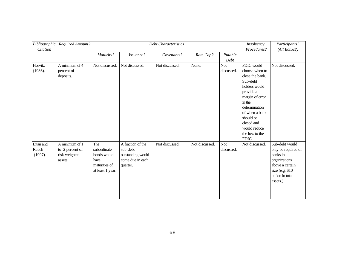| Bibliographic<br>Citation     | Required Amount?                                              | Debt Characteristics                                                           |                                                                                    |                |                |                          | Insolvency<br>Procedures?                                                                                                                                                                                                        | Participants?<br>(All Banks?)                                                                                                             |
|-------------------------------|---------------------------------------------------------------|--------------------------------------------------------------------------------|------------------------------------------------------------------------------------|----------------|----------------|--------------------------|----------------------------------------------------------------------------------------------------------------------------------------------------------------------------------------------------------------------------------|-------------------------------------------------------------------------------------------------------------------------------------------|
|                               |                                                               | Maturity?                                                                      | Issuance?                                                                          | Covenants?     | Rate Cap?      | Putable<br>Debt          |                                                                                                                                                                                                                                  |                                                                                                                                           |
| Horvitz<br>(1986).            | A minimum of 4<br>percent of<br>deposits.                     | Not discussed.                                                                 | Not discussed.                                                                     | Not discussed. | None.          | <b>Not</b><br>discussed. | FDIC would<br>choose when to<br>close the bank.<br>Sub-debt<br>holders would<br>provide a<br>margin of error<br>in the<br>determination<br>of when a bank<br>should be<br>closed and<br>would reduce<br>the loss to the<br>FDIC. | Not discussed.                                                                                                                            |
| Litan and<br>Rauch<br>(1997). | A minimum of 1<br>to 2 percent of<br>risk-weighted<br>assets. | The<br>subordinate<br>bonds would<br>have<br>maturities of<br>at least 1 year. | A fraction of the<br>sub-debt<br>outstanding would<br>come due in each<br>quarter. | Not discussed. | Not discussed. | <b>Not</b><br>discussed. | Not discussed.                                                                                                                                                                                                                   | Sub-debt would<br>only be required of<br>banks in<br>organizations<br>above a certain<br>size (e.g. \$10)<br>billion in total<br>assets.) |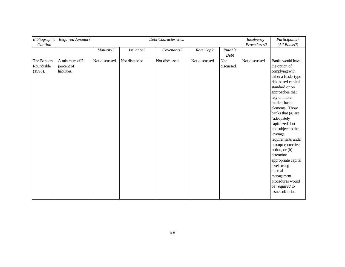| <b>Bibliographic</b><br>Citation     | Required Amount?                             | <b>Debt Characteristics</b> |                |                |                |                          | Insolvency<br>Procedures? | Participants?<br>(All Banks?)                                                                                                                                                                                                                                                                                                                                                                                                                                                           |
|--------------------------------------|----------------------------------------------|-----------------------------|----------------|----------------|----------------|--------------------------|---------------------------|-----------------------------------------------------------------------------------------------------------------------------------------------------------------------------------------------------------------------------------------------------------------------------------------------------------------------------------------------------------------------------------------------------------------------------------------------------------------------------------------|
|                                      |                                              | Maturity?                   | Issuance?      | Covenants?     | Rate Cap?      | Putable<br>Debt          |                           |                                                                                                                                                                                                                                                                                                                                                                                                                                                                                         |
| The Bankers<br>Roundtable<br>(1998). | A minimum of 2<br>percent of<br>liabilities. | Not discussed.              | Not discussed. | Not discussed. | Not discussed. | <b>Not</b><br>discussed. | Not discussed.            | Banks would have<br>the option of<br>complying with<br>either a Basle-type<br>risk-based capital<br>standard or on<br>approaches that<br>rely on more<br>market-based<br>elements. Those<br>banks that (a) are<br>"adequately<br>capitalized" but<br>not subject to the<br>leverage<br>requirements under<br>prompt corrective<br>action, or (b)<br>determine<br>appropriate capital<br>levels using<br>internal<br>management<br>procedures would<br>be required to<br>issue sub-debt. |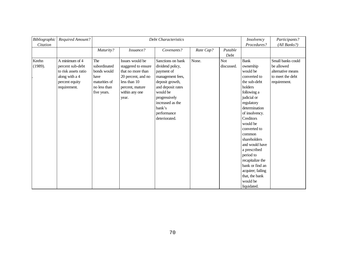| <b>Bibliographic</b><br>Citation | Required Amount?                                                                                               | <b>Debt Characteristics</b>                                                                |                                                                                                                                                 |                                                                                                                                                                                                            |           | Insolvency<br>Procedures? | Participants?<br>(All Banks?)                                                                                                                                                                                                                                                                                                                                                             |                                                                                          |
|----------------------------------|----------------------------------------------------------------------------------------------------------------|--------------------------------------------------------------------------------------------|-------------------------------------------------------------------------------------------------------------------------------------------------|------------------------------------------------------------------------------------------------------------------------------------------------------------------------------------------------------------|-----------|---------------------------|-------------------------------------------------------------------------------------------------------------------------------------------------------------------------------------------------------------------------------------------------------------------------------------------------------------------------------------------------------------------------------------------|------------------------------------------------------------------------------------------|
|                                  |                                                                                                                | Maturity?                                                                                  | Issuance?                                                                                                                                       | Covenants?                                                                                                                                                                                                 | Rate Cap? | Putable<br>Debt           |                                                                                                                                                                                                                                                                                                                                                                                           |                                                                                          |
| Keehn<br>(1989).                 | A minimum of 4<br>percent sub-debt<br>to risk assets ratio<br>along with a 4<br>percent equity<br>requirement. | The<br>subordinated<br>bonds would<br>have<br>maturities of<br>no less than<br>five years. | Issues would be<br>staggered to ensure<br>that no more than<br>20 percent, and no<br>less than 10<br>percent, mature<br>within any one<br>year. | Sanctions on bank<br>dividend policy,<br>payment of<br>management fees,<br>deposit growth,<br>and deposit rates<br>would be<br>progressively<br>increased as the<br>bank's<br>performance<br>deteriorated. | None.     | <b>Not</b><br>discussed.  | <b>Bank</b><br>ownership<br>would be<br>converted to<br>the sub-debt<br>holders<br>following a<br>judicial or<br>regulatory<br>determination<br>of insolvency.<br>Creditors<br>would be<br>converted to<br>common<br>shareholders<br>and would have<br>a prescribed<br>period to<br>recapitalize the<br>bank or find an<br>acquirer; failing<br>that, the bank<br>would be<br>liquidated. | Small banks could<br>be allowed<br>alternative means<br>to meet the debt<br>requirement. |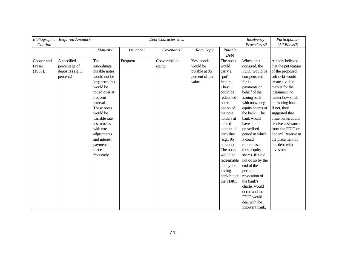| Bibliographic | Required Amount? |                | <b>Debt Characteristics</b> | Insolvency     | Participants?  |             |                   |                      |
|---------------|------------------|----------------|-----------------------------|----------------|----------------|-------------|-------------------|----------------------|
| Citation      |                  |                |                             |                |                |             | Procedures?       | (All Banks?)         |
|               |                  | Maturity?      | Issuance?                   | Covenants?     | Rate Cap?      | Putable     |                   |                      |
|               |                  |                |                             |                |                | Debt        |                   |                      |
| Cooper and    | A specified      | The            | Frequent.                   | Convertible to | Yes, bonds     | The notes   | When a put        | Authors believed     |
| Fraser        | percentage of    | subordinate    |                             | equity.        | would be       | would       | occurred, the     | that the put feature |
| (1988).       | deposits (e.g. 3 | putable notes  |                             |                | putable at 95  | carry a     | FDIC would be     | of the proposed      |
|               | percent.)        | would not be   |                             |                | percent of par | "put"       | compensated       | sub-debt would       |
|               |                  | long-term, but |                             |                | value.         | feature.    | for its           | create a viable      |
|               |                  | would be       |                             |                |                | They        | payments on       | market for the       |
|               |                  | rolled over at |                             |                |                | could be    | behalf of the     | instrument, no       |
|               |                  | frequent       |                             |                |                | redeemed    | issuing bank      | matter how small     |
|               |                  | intervals.     |                             |                |                | at the      | with nonvoting    | the issuing bank.    |
|               |                  | These notes    |                             |                |                | option of   | equity shares of  | If not, they         |
|               |                  | would be       |                             |                |                | the note    | the bank. The     | suggested that       |
|               |                  | variable rate  |                             |                |                | holders at  | bank would        | these banks could    |
|               |                  | instruments    |                             |                |                | a fixed     | have a            | receive assistance   |
|               |                  | with rate      |                             |                |                | percent of  | prescribed        | from the FDIC or     |
|               |                  | adjustments    |                             |                |                | par value   | period in which   | Federal Reserve in   |
|               |                  | and interest   |                             |                |                | (e.g., 95)  | it could          | the placement of     |
|               |                  | payments       |                             |                |                | percent).   | repurchase        | this debt with       |
|               |                  | made           |                             |                |                | The notes   | these equity      | investors.           |
|               |                  | frequently.    |                             |                |                | would be    | shares. If it did |                      |
|               |                  |                |                             |                |                | redeemable  | not do so by the  |                      |
|               |                  |                |                             |                |                | not by the  | end of the        |                      |
|               |                  |                |                             |                |                | issuing     | period,           |                      |
|               |                  |                |                             |                |                | bank but at | revocation of     |                      |
|               |                  |                |                             |                |                | the FDIC.   | the bank's        |                      |
|               |                  |                |                             |                |                |             | charter would     |                      |
|               |                  |                |                             |                |                |             | occur and the     |                      |
|               |                  |                |                             |                |                |             | FDIC would        |                      |
|               |                  |                |                             |                |                |             | deal with the     |                      |
|               |                  |                |                             |                |                |             | insolvent bank.   |                      |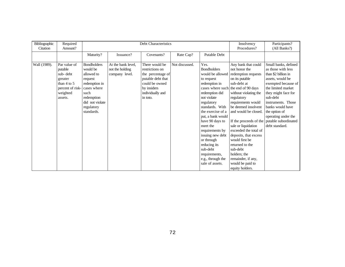| Bibliographic | Required         |                    |                    | Debt Characteristics |                |                     | Insolvency                                  | Participants?        |
|---------------|------------------|--------------------|--------------------|----------------------|----------------|---------------------|---------------------------------------------|----------------------|
| Citation      | Amount?          |                    |                    |                      |                |                     | Procedures?                                 | (All Banks?)         |
|               |                  | Maturity?          | Issuance?          | Covenants?           | Rate Cap?      | <b>Putable Debt</b> |                                             |                      |
|               |                  |                    |                    |                      |                |                     |                                             |                      |
| Wall (1989).  | Par value of     | <b>Bondholders</b> | At the bank level, | There would be       | Not discussed. | Yes.                | Any bank that could                         | Small banks, defined |
|               | putable          | would be           | not the holding    | restrictions on      |                | <b>Bondholders</b>  | not honor the                               | as those with less   |
|               | sub-debt         | allowed to         | company level.     | the percentage of    |                | would be allowed    | redemption requests                         | than \$2 billion in  |
|               | greater          | request            |                    | putable debt that    |                | to request          | on its putable                              | assets, would be     |
|               | than $4$ to $5$  | redemption in      |                    | could be owned       |                | redemption in       | sub-debt at                                 | exempted because of  |
|               | percent of risk- | cases where        |                    | by insiders          |                |                     | cases where such the end of 90 days         | the limited market   |
|               | weighted         | such               |                    | individually and     |                | redemption did      | without violating the                       | they might face for  |
|               | assets.          | redemption         |                    | in toto.             |                | not violate         | regulatory                                  | sub-debt             |
|               |                  | did not violate    |                    |                      |                | regulatory          | requirements would                          | instruments. Those   |
|               |                  | regulatory         |                    |                      |                | standards. With     | be deemed insolvent                         | banks would have     |
|               |                  | standards.         |                    |                      |                | the exercise of a   | and would be closed.                        | the option of        |
|               |                  |                    |                    |                      |                | put, a bank would   |                                             | operating under the  |
|               |                  |                    |                    |                      |                | have 90 days to     | If the proceeds of the putable subordinated |                      |
|               |                  |                    |                    |                      |                | meet the            | sale or liquidation                         | debt standard.       |
|               |                  |                    |                    |                      |                | requirements by     | exceeded the total of                       |                      |
|               |                  |                    |                    |                      |                | issuing new debt    | deposits, that excess                       |                      |
|               |                  |                    |                    |                      |                | or through          | would first be                              |                      |
|               |                  |                    |                    |                      |                | reducing its        | returned to the                             |                      |
|               |                  |                    |                    |                      |                | sub-debt            | sub-debt                                    |                      |
|               |                  |                    |                    |                      |                | requirements,       | holders; the                                |                      |
|               |                  |                    |                    |                      |                | e.g., through the   | remainder, if any,                          |                      |
|               |                  |                    |                    |                      |                | sale of assets.     | would be paid to                            |                      |
|               |                  |                    |                    |                      |                |                     | equity holders.                             |                      |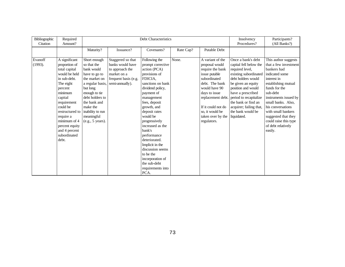| Bibliographic<br>Citation | Required<br>Amount?                                                                                                                                                                                                                                                   | Debt Characteristics                                                                                                                                                                                                              |                                                                                                                    |                                                                                                                                                                                                                                                                                                                                                                                                                      |           |                                                                                                                                                                                                                                               | Insolvency<br>Procedures?                                                                                                                                                                                                                                                                       | Participants?<br>(All Banks?)                                                                                                                                                                                                                                                                                                |
|---------------------------|-----------------------------------------------------------------------------------------------------------------------------------------------------------------------------------------------------------------------------------------------------------------------|-----------------------------------------------------------------------------------------------------------------------------------------------------------------------------------------------------------------------------------|--------------------------------------------------------------------------------------------------------------------|----------------------------------------------------------------------------------------------------------------------------------------------------------------------------------------------------------------------------------------------------------------------------------------------------------------------------------------------------------------------------------------------------------------------|-----------|-----------------------------------------------------------------------------------------------------------------------------------------------------------------------------------------------------------------------------------------------|-------------------------------------------------------------------------------------------------------------------------------------------------------------------------------------------------------------------------------------------------------------------------------------------------|------------------------------------------------------------------------------------------------------------------------------------------------------------------------------------------------------------------------------------------------------------------------------------------------------------------------------|
|                           |                                                                                                                                                                                                                                                                       | Maturity?                                                                                                                                                                                                                         | Issuance?                                                                                                          | Covenants?                                                                                                                                                                                                                                                                                                                                                                                                           | Rate Cap? | <b>Putable Debt</b>                                                                                                                                                                                                                           |                                                                                                                                                                                                                                                                                                 |                                                                                                                                                                                                                                                                                                                              |
| Evanoff<br>(1993).        | A significant<br>proportion of<br>total capital<br>would be held<br>in sub-debt.<br>The eight<br>percent<br>minimum<br>capital<br>requirement<br>could be<br>restructured to<br>require a<br>minimum of 4<br>percent equity<br>and 4 percent<br>subordinated<br>debt. | Short enough<br>so that the<br>bank would<br>have to go to<br>the market on<br>a regular basis,<br>but long<br>enough to tie<br>debt holders to<br>the bank and<br>make the<br>inability to run<br>meaningful<br>(e.g., 5 years). | Staggered so that<br>banks would have<br>to approach the<br>market on a<br>frequent basis (e.g.<br>semi-annually). | Following the<br>prompt corrective<br>action (PCA)<br>provisions of<br>FDICIA.<br>sanctions on bank<br>dividend policy,<br>payment of<br>management<br>fees, deposit<br>growth, and<br>deposit rates<br>would be<br>progressively<br>increased as the<br>bank's<br>performance<br>deteriorated.<br>Implicit in the<br>discussion seems<br>to be the<br>incorporation of<br>the sub-debt<br>requirements into<br>PCA. | None.     | A variant of the<br>proposal would<br>require the bank<br>issue putable<br>subordinated<br>debt. The bank<br>would have 90<br>days to issue<br>replacement debt.<br>If it could not do<br>so, it would be<br>taken over by the<br>regulators. | Once a bank's debt<br>capital fell below the<br>required level,<br>existing subordinated<br>debt holders would<br>be given an equity<br>position and would<br>have a prescribed<br>period to recapitalize<br>the bank or find an<br>acquirer; failing that,<br>the bank would be<br>liquidated. | This author suggests<br>that a few investment<br>bankers had<br>indicated some<br>interest in<br>establishing mutual<br>funds for the<br>sub-debt<br>instruments issued by<br>small banks. Also,<br>his conversations<br>with small bankers<br>suggested that they<br>could raise this type<br>of debt relatively<br>easily. |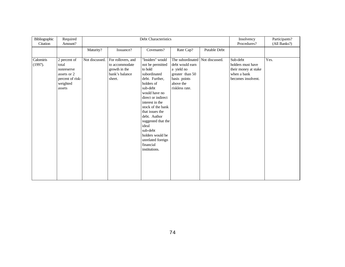| Bibliographic<br>Citation | Required<br>Amount?                                                                          | Debt Characteristics |                                                                                   |                                                                                                                                                                                                                                                                                                                                                 |                                                                                                                                    |              | Insolvency<br>Procedures?                                                                  | Participants?<br>(All Banks?) |
|---------------------------|----------------------------------------------------------------------------------------------|----------------------|-----------------------------------------------------------------------------------|-------------------------------------------------------------------------------------------------------------------------------------------------------------------------------------------------------------------------------------------------------------------------------------------------------------------------------------------------|------------------------------------------------------------------------------------------------------------------------------------|--------------|--------------------------------------------------------------------------------------------|-------------------------------|
|                           |                                                                                              | Maturity?            | Issuance?                                                                         | Covenants?                                                                                                                                                                                                                                                                                                                                      | Rate Cap?                                                                                                                          | Putable Debt |                                                                                            |                               |
| Calomiris<br>(1997).      | 2 percent of<br>total<br>nonreserve<br>assets or 2<br>percent of risk-<br>weighted<br>assets | Not discussed.       | For rollovers, and<br>to accommodate<br>growth in the<br>bank's balance<br>sheet. | "Insiders" would<br>not be permitted<br>to hold<br>subordinated<br>debt. Further,<br>holders of<br>sub-debt<br>would have no<br>direct or indirect<br>interest in the<br>stock of the bank<br>that issues the<br>debt. Author<br>suggested that the<br>ideal<br>sub-debt<br>holders would be<br>unrelated foreign<br>financial<br>institutions. | The subordinated Not discussed.<br>debt would earn<br>a yield no<br>greater than 50<br>basis points<br>above the<br>riskless rate. |              | Sub-debt<br>holders must have<br>their money at stake<br>when a bank<br>becomes insolvent. | Yes.                          |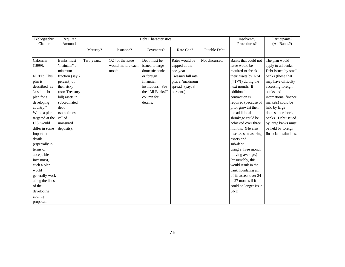| Bibliographic   | Required          | Debt Characteristics |                     |                   |                    |                     | Insolvency            | Participants?           |
|-----------------|-------------------|----------------------|---------------------|-------------------|--------------------|---------------------|-----------------------|-------------------------|
| Citation        | Amount?           |                      |                     |                   |                    |                     | Procedures?           | (All Banks?)            |
|                 |                   | Maturity?            | Issuance?           | Covenants?        | Rate Cap?          | <b>Putable Debt</b> |                       |                         |
|                 |                   |                      |                     |                   |                    |                     |                       |                         |
| Calomiris       | <b>Banks</b> must | Two years.           | $1/24$ of the issue | Debt must be      | Rates would be     | Not discussed.      | Banks that could not  | The plan would          |
| (1999).         | "maintain" a      |                      | would mature each   | issued to large   | capped at the      |                     | issue would be        | apply to all banks.     |
|                 | minimum           |                      | month.              | domestic banks    | one-year           |                     | required to shrink    | Debt issued by small    |
| NOTE: This      | fraction (say 2   |                      |                     | or foreign        | Treasury bill rate |                     | their assets by 1/24  | banks (those that       |
| plan is         | percent) of       |                      |                     | financial         | plus a "maximum    |                     | $(4.17%)$ during the  | may have difficulty     |
| described as    | their risky       |                      |                     | institutions. See | spread" (say, 3)   |                     | next month. If        | accessing foreign       |
| "a sub-debt     | (non-Treasury     |                      |                     | the "All Banks?"  | percent.)          |                     | additional            | banks and               |
| plan for a      | bill) assets in   |                      |                     | column for        |                    |                     | contraction is        | international finance   |
| developing      | subordinated      |                      |                     | details.          |                    |                     | required (because of  | markets) could be       |
| country."       | debt              |                      |                     |                   |                    |                     | prior growth) then    | held by large           |
| While a plan    | (sometimes)       |                      |                     |                   |                    |                     | the additional        | domestic or foreign     |
| targeted at the | called            |                      |                     |                   |                    |                     | shrinkage could be    | banks. Debt issued      |
| U.S. would      | uninsured         |                      |                     |                   |                    |                     | achieved over three   | by large banks must     |
| differ in some  | deposits).        |                      |                     |                   |                    |                     | months. (He also      | be held by foreign      |
| important       |                   |                      |                     |                   |                    |                     | discusses measuring   | financial institutions. |
| details         |                   |                      |                     |                   |                    |                     | assets and            |                         |
| (especially in  |                   |                      |                     |                   |                    |                     | sub-debt              |                         |
| terms of        |                   |                      |                     |                   |                    |                     | using a three month   |                         |
| acceptable      |                   |                      |                     |                   |                    |                     | moving average.)      |                         |
| investors),     |                   |                      |                     |                   |                    |                     | Presumably, this      |                         |
| such a plan     |                   |                      |                     |                   |                    |                     | would result in the   |                         |
| would           |                   |                      |                     |                   |                    |                     | bank liquidating all  |                         |
| generally work  |                   |                      |                     |                   |                    |                     | of its assets over 24 |                         |
| along the lines |                   |                      |                     |                   |                    |                     | to 27 months if it    |                         |
| of the          |                   |                      |                     |                   |                    |                     | could no longer issue |                         |
| developing      |                   |                      |                     |                   |                    |                     | SND.                  |                         |
| country         |                   |                      |                     |                   |                    |                     |                       |                         |
| proposal.       |                   |                      |                     |                   |                    |                     |                       |                         |